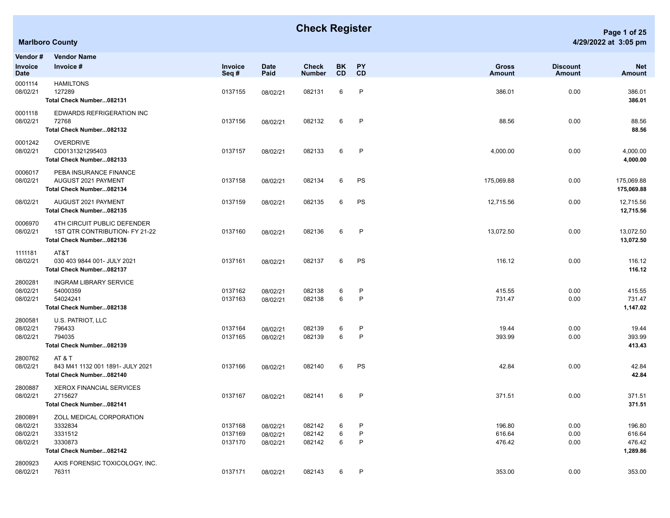## **Check Register Page 1 of 25**

**Net Amount**

| <b>Marlboro County</b> | 4/29/2022 at 3:05 pm |
|------------------------|----------------------|
| londor# VondorNomo     |                      |

| Vendor#<br>Invoice                          | <b>Vendor Name</b><br>Invoice #                                                           | Invoice                       | <b>Date</b><br>Paid              | <b>Check</b>               | <b>BK</b><br>CD | PY<br>CD    | <b>Gross</b>               | <b>Discount</b><br><b>Amount</b> | <b>Net</b>                             |
|---------------------------------------------|-------------------------------------------------------------------------------------------|-------------------------------|----------------------------------|----------------------------|-----------------|-------------|----------------------------|----------------------------------|----------------------------------------|
| <b>Date</b><br>0001114<br>08/02/21          | <b>HAMILTONS</b><br>127289<br>Total Check Number082131                                    | Seq#<br>0137155               | 08/02/21                         | Number<br>082131           | 6               | P           | Amount<br>386.01           | 0.00                             | Amount<br>386.01<br>386.01             |
| 0001118<br>08/02/21                         | EDWARDS REFRIGERATION INC<br>72768<br>Total Check Number082132                            | 0137156                       | 08/02/21                         | 082132                     | 6               | P           | 88.56                      | 0.00                             | 88.56<br>88.56                         |
| 0001242<br>08/02/21                         | <b>OVERDRIVE</b><br>CD0131321295403<br>Total Check Number082133                           | 0137157                       | 08/02/21                         | 082133                     | $6\phantom{.}6$ | P           | 4,000.00                   | 0.00                             | 4,000.00<br>4,000.00                   |
| 0006017<br>08/02/21                         | PEBA INSURANCE FINANCE<br>AUGUST 2021 PAYMENT<br>Total Check Number082134                 | 0137158                       | 08/02/21                         | 082134                     | 6               | PS          | 175,069.88                 | 0.00                             | 175,069.88<br>175,069.88               |
| 08/02/21                                    | AUGUST 2021 PAYMENT<br>Total Check Number082135                                           | 0137159                       | 08/02/21                         | 082135                     | 6               | PS          | 12,715.56                  | 0.00                             | 12,715.56<br>12,715.56                 |
| 0006970<br>08/02/21                         | 4TH CIRCUIT PUBLIC DEFENDER<br>1ST QTR CONTRIBUTION- FY 21-22<br>Total Check Number082136 | 0137160                       | 08/02/21                         | 082136                     | 6               | P           | 13,072.50                  | 0.00                             | 13,072.50<br>13,072.50                 |
| 1111181<br>08/02/21                         | AT&T<br>030 403 9844 001- JULY 2021<br>Total Check Number082137                           | 0137161                       | 08/02/21                         | 082137                     | 6               | PS          | 116.12                     | 0.00                             | 116.12<br>116.12                       |
| 2800281<br>08/02/21<br>08/02/21             | <b>INGRAM LIBRARY SERVICE</b><br>54000359<br>54024241<br>Total Check Number082138         | 0137162<br>0137163            | 08/02/21<br>08/02/21             | 082138<br>082138           | 6<br>6          | P<br>P      | 415.55<br>731.47           | 0.00<br>0.00                     | 415.55<br>731.47<br>1,147.02           |
| 2800581<br>08/02/21<br>08/02/21             | U.S. PATRIOT, LLC<br>796433<br>794035<br>Total Check Number082139                         | 0137164<br>0137165            | 08/02/21<br>08/02/21             | 082139<br>082139           | 6<br>6          | P<br>P      | 19.44<br>393.99            | 0.00<br>0.00                     | 19.44<br>393.99<br>413.43              |
| 2800762<br>08/02/21                         | AT&T<br>843 M41 1132 001 1891- JULY 2021<br>Total Check Number082140                      | 0137166                       | 08/02/21                         | 082140                     | 6               | PS          | 42.84                      | 0.00                             | 42.84<br>42.84                         |
| 2800887<br>08/02/21                         | <b>XEROX FINANCIAL SERVICES</b><br>2715627<br>Total Check Number082141                    | 0137167                       | 08/02/21                         | 082141                     | 6               | P           | 371.51                     | 0.00                             | 371.51<br>371.51                       |
| 2800891<br>08/02/21<br>08/02/21<br>08/02/21 | ZOLL MEDICAL CORPORATION<br>3332834<br>3331512<br>3330873<br>Total Check Number082142     | 0137168<br>0137169<br>0137170 | 08/02/21<br>08/02/21<br>08/02/21 | 082142<br>082142<br>082142 | 6<br>6<br>6     | P<br>P<br>P | 196.80<br>616.64<br>476.42 | 0.00<br>0.00<br>0.00             | 196.80<br>616.64<br>476.42<br>1,289.86 |
| 2800923                                     | AXIS FORENSIC TOXICOLOGY, INC.                                                            |                               |                                  |                            |                 |             |                            |                                  |                                        |

08/02/21 76311 0137171 08/02/21 082143 6 P 353.00 353.00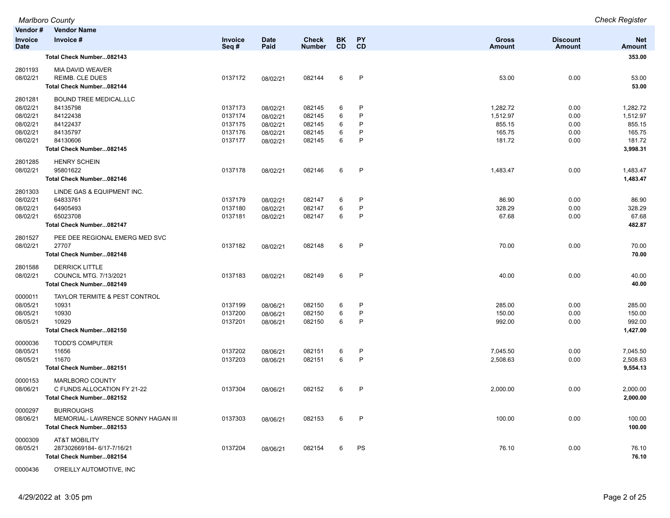|                               | <b>Marlboro County</b>             |                 |                     |                               |                 |              |                        |                           | <b>Check Register</b>       |
|-------------------------------|------------------------------------|-----------------|---------------------|-------------------------------|-----------------|--------------|------------------------|---------------------------|-----------------------------|
| Vendor#                       | <b>Vendor Name</b>                 |                 |                     |                               |                 |              |                        |                           |                             |
| <b>Invoice</b><br><b>Date</b> | Invoice #                          | Invoice<br>Seq# | <b>Date</b><br>Paid | <b>Check</b><br><b>Number</b> | BK<br><b>CD</b> | PY<br>CD     | <b>Gross</b><br>Amount | <b>Discount</b><br>Amount | <b>Net</b><br><b>Amount</b> |
|                               | Total Check Number082143           |                 |                     |                               |                 |              |                        |                           | 353.00                      |
| 2801193                       | MIA DAVID WEAVER                   |                 |                     |                               |                 |              |                        |                           |                             |
| 08/02/21                      | REIMB. CLE DUES                    | 0137172         | 08/02/21            | 082144                        | 6               | P            | 53.00                  | 0.00                      | 53.00                       |
|                               | Total Check Number082144           |                 |                     |                               |                 |              |                        |                           | 53.00                       |
| 2801281                       | <b>BOUND TREE MEDICAL, LLC</b>     |                 |                     |                               |                 |              |                        |                           |                             |
| 08/02/21                      | 84135798                           | 0137173         | 08/02/21            | 082145                        | 6               | P            | 1,282.72               | 0.00                      | 1,282.72                    |
| 08/02/21                      | 84122438                           | 0137174         | 08/02/21            | 082145                        | 6               | P            | 1,512.97               | 0.00                      | 1,512.97                    |
| 08/02/21                      | 84122437                           | 0137175         | 08/02/21            | 082145                        | 6               | P            | 855.15                 | 0.00                      | 855.15                      |
| 08/02/21                      | 84135797                           | 0137176         | 08/02/21            | 082145                        | 6               | P            | 165.75                 | 0.00                      | 165.75                      |
| 08/02/21                      | 84130606                           | 0137177         | 08/02/21            | 082145                        | 6               | P            | 181.72                 | 0.00                      | 181.72                      |
|                               | Total Check Number082145           |                 |                     |                               |                 |              |                        |                           | 3,998.31                    |
| 2801285                       | <b>HENRY SCHEIN</b>                |                 |                     |                               |                 |              |                        |                           |                             |
| 08/02/21                      | 95801622                           | 0137178         | 08/02/21            | 082146                        | 6               | P            | 1,483.47               | 0.00                      | 1,483.47                    |
|                               | Total Check Number082146           |                 |                     |                               |                 |              |                        |                           | 1,483.47                    |
| 2801303                       | LINDE GAS & EQUIPMENT INC.         |                 |                     |                               |                 |              |                        |                           |                             |
| 08/02/21                      | 64833761                           | 0137179         | 08/02/21            | 082147                        | 6               | P            | 86.90                  | 0.00                      | 86.90                       |
| 08/02/21                      | 64905493                           | 0137180         | 08/02/21            | 082147                        | 6               | P            | 328.29                 | 0.00                      | 328.29                      |
| 08/02/21                      | 65023708                           | 0137181         | 08/02/21            | 082147                        | 6               | P            | 67.68                  | 0.00                      | 67.68                       |
|                               | Total Check Number082147           |                 |                     |                               |                 |              |                        |                           | 482.87                      |
| 2801527                       | PEE DEE REGIONAL EMERG MED SVC     |                 |                     |                               |                 |              |                        |                           |                             |
| 08/02/21                      | 27707                              | 0137182         | 08/02/21            | 082148                        | 6               | $\mathsf{P}$ | 70.00                  | 0.00                      | 70.00                       |
|                               | Total Check Number082148           |                 |                     |                               |                 |              |                        |                           | 70.00                       |
| 2801588                       | <b>DERRICK LITTLE</b>              |                 |                     |                               |                 |              |                        |                           |                             |
| 08/02/21                      | <b>COUNCIL MTG. 7/13/2021</b>      | 0137183         | 08/02/21            | 082149                        | 6               | P            | 40.00                  | 0.00                      | 40.00                       |
|                               | Total Check Number082149           |                 |                     |                               |                 |              |                        |                           | 40.00                       |
| 0000011                       | TAYLOR TERMITE & PEST CONTROL      |                 |                     |                               |                 |              |                        |                           |                             |
| 08/05/21                      | 10931                              | 0137199         | 08/06/21            | 082150                        | 6               | P            | 285.00                 | 0.00                      | 285.00                      |
| 08/05/21                      | 10930                              | 0137200         | 08/06/21            | 082150                        | 6               | $\mathsf{P}$ | 150.00                 | 0.00                      | 150.00                      |
| 08/05/21                      | 10929                              | 0137201         | 08/06/21            | 082150                        | 6               | $\mathsf{P}$ | 992.00                 | 0.00                      | 992.00                      |
|                               | Total Check Number082150           |                 |                     |                               |                 |              |                        |                           | 1,427.00                    |
| 0000036                       | <b>TODD'S COMPUTER</b>             |                 |                     |                               |                 |              |                        |                           |                             |
| 08/05/21                      | 11656                              | 0137202         | 08/06/21            | 082151                        | 6               | P            | 7,045.50               | 0.00                      | 7,045.50                    |
| 08/05/21                      | 11670                              | 0137203         | 08/06/21            | 082151                        | 6               | $\mathsf{P}$ | 2,508.63               | 0.00                      | 2,508.63                    |
|                               | Total Check Number082151           |                 |                     |                               |                 |              |                        |                           | 9,554.13                    |
| 0000153                       | MARLBORO COUNTY                    |                 |                     |                               |                 |              |                        |                           |                             |
| 08/06/21                      | C FUNDS ALLOCATION FY 21-22        | 0137304         | 08/06/21            | 082152                        | 6               | P            | 2,000.00               | 0.00                      | 2,000.00                    |
|                               | Total Check Number082152           |                 |                     |                               |                 |              |                        |                           | 2,000.00                    |
| 0000297                       | <b>BURROUGHS</b>                   |                 |                     |                               |                 |              |                        |                           |                             |
| 08/06/21                      | MEMORIAL- LAWRENCE SONNY HAGAN III | 0137303         | 08/06/21            | 082153                        | 6               | $\mathsf{P}$ | 100.00                 | 0.00                      | 100.00                      |
|                               | Total Check Number082153           |                 |                     |                               |                 |              |                        |                           | 100.00                      |
| 0000309                       | AT&T MOBILITY                      |                 |                     |                               |                 |              |                        |                           |                             |
| 08/05/21                      | 287302669184-6/17-7/16/21          | 0137204         | 08/06/21            | 082154                        | 6               | PS           | 76.10                  | 0.00                      | 76.10                       |
|                               | Total Check Number082154           |                 |                     |                               |                 |              |                        |                           | 76.10                       |
|                               |                                    |                 |                     |                               |                 |              |                        |                           |                             |

0000436 O'REILLY AUTOMOTIVE, INC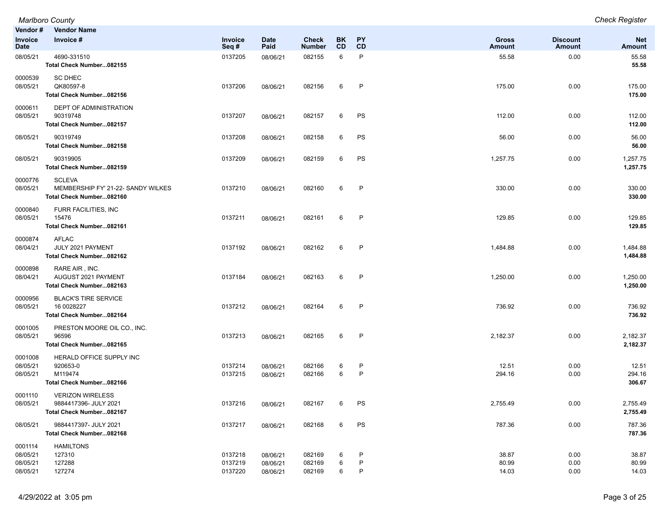|                                             | <b>Marlboro County</b>                                                          |                               |                                  |                               |                 |             |                         |                           | <b>Check Register</b>       |
|---------------------------------------------|---------------------------------------------------------------------------------|-------------------------------|----------------------------------|-------------------------------|-----------------|-------------|-------------------------|---------------------------|-----------------------------|
| Vendor#                                     | <b>Vendor Name</b>                                                              |                               |                                  |                               |                 |             |                         |                           |                             |
| Invoice<br><b>Date</b>                      | Invoice #                                                                       | Invoice<br>Seq#               | <b>Date</b><br>Paid              | <b>Check</b><br><b>Number</b> | BK<br><b>CD</b> | PY<br>CD    | <b>Gross</b><br>Amount  | <b>Discount</b><br>Amount | <b>Net</b><br><b>Amount</b> |
| 08/05/21                                    | 4690-331510<br>Total Check Number082155                                         | 0137205                       | 08/06/21                         | 082155                        | 6               | P           | 55.58                   | 0.00                      | 55.58<br>55.58              |
| 0000539<br>08/05/21                         | <b>SC DHEC</b><br>QK80597-8<br>Total Check Number082156                         | 0137206                       | 08/06/21                         | 082156                        | 6               | P           | 175.00                  | 0.00                      | 175.00<br>175.00            |
| 0000611<br>08/05/21                         | DEPT OF ADMINISTRATION<br>90319748<br>Total Check Number082157                  | 0137207                       | 08/06/21                         | 082157                        | 6               | PS          | 112.00                  | 0.00                      | 112.00<br>112.00            |
| 08/05/21                                    | 90319749<br>Total Check Number082158                                            | 0137208                       | 08/06/21                         | 082158                        | 6               | PS          | 56.00                   | 0.00                      | 56.00<br>56.00              |
| 08/05/21                                    | 90319905<br>Total Check Number082159                                            | 0137209                       | 08/06/21                         | 082159                        | 6               | PS          | 1,257.75                | 0.00                      | 1,257.75<br>1,257.75        |
| 0000776<br>08/05/21                         | <b>SCLEVA</b><br>MEMBERSHIP FY' 21-22- SANDY WILKES<br>Total Check Number082160 | 0137210                       | 08/06/21                         | 082160                        | 6               | P           | 330.00                  | 0.00                      | 330.00<br>330.00            |
| 0000840<br>08/05/21                         | FURR FACILITIES, INC<br>15476<br>Total Check Number082161                       | 0137211                       | 08/06/21                         | 082161                        | 6               | P           | 129.85                  | 0.00                      | 129.85<br>129.85            |
| 0000874<br>08/04/21                         | <b>AFLAC</b><br>JULY 2021 PAYMENT<br>Total Check Number082162                   | 0137192                       | 08/06/21                         | 082162                        | 6               | P           | 1,484.88                | 0.00                      | 1,484.88<br>1,484.88        |
| 0000898<br>08/04/21                         | RARE AIR, INC.<br>AUGUST 2021 PAYMENT<br>Total Check Number082163               | 0137184                       | 08/06/21                         | 082163                        | 6               | P           | 1,250.00                | 0.00                      | 1,250.00<br>1,250.00        |
| 0000956<br>08/05/21                         | <b>BLACK'S TIRE SERVICE</b><br>16 0028227<br>Total Check Number082164           | 0137212                       | 08/06/21                         | 082164                        | 6               | P           | 736.92                  | 0.00                      | 736.92<br>736.92            |
| 0001005<br>08/05/21                         | PRESTON MOORE OIL CO., INC.<br>96596<br>Total Check Number082165                | 0137213                       | 08/06/21                         | 082165                        | 6               | P           | 2,182.37                | 0.00                      | 2,182.37<br>2,182.37        |
| 0001008<br>08/05/21<br>08/05/21             | HERALD OFFICE SUPPLY INC<br>920653-0<br>M119474<br>Total Check Number082166     | 0137214<br>0137215            | 08/06/21<br>08/06/21             | 082166<br>082166              | 6<br>6          | P<br>P      | 12.51<br>294.16         | 0.00<br>0.00              | 12.51<br>294.16<br>306.67   |
| 0001110<br>08/05/21                         | <b>VERIZON WIRELESS</b><br>9884417396- JULY 2021<br>Total Check Number082167    | 0137216                       | 08/06/21                         | 082167                        | 6               | PS          | 2,755.49                | 0.00                      | 2,755.49<br>2,755.49        |
| 08/05/21                                    | 9884417397- JULY 2021<br>Total Check Number082168                               | 0137217                       | 08/06/21                         | 082168                        | 6               | PS          | 787.36                  | 0.00                      | 787.36<br>787.36            |
| 0001114<br>08/05/21<br>08/05/21<br>08/05/21 | <b>HAMILTONS</b><br>127310<br>127288<br>127274                                  | 0137218<br>0137219<br>0137220 | 08/06/21<br>08/06/21<br>08/06/21 | 082169<br>082169<br>082169    | 6<br>6<br>6     | P<br>P<br>P | 38.87<br>80.99<br>14.03 | 0.00<br>0.00<br>0.00      | 38.87<br>80.99<br>14.03     |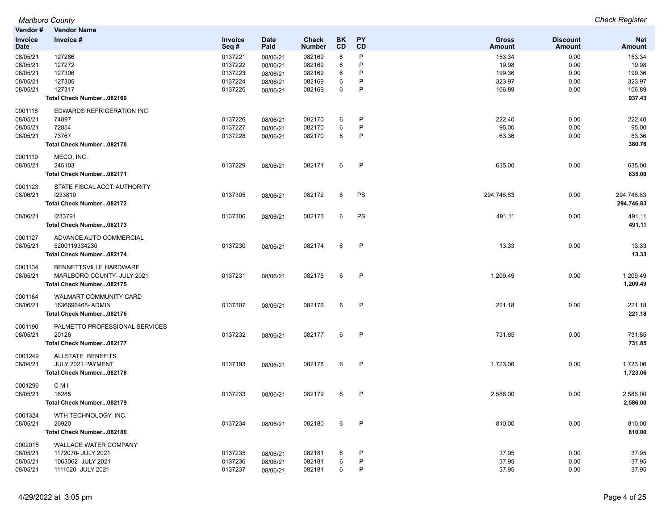| Vendor#                                                  | Vendor Name                                                                                    |                                                     |                                                          |                                                |                       |                        |                                               |                                      |                                               |
|----------------------------------------------------------|------------------------------------------------------------------------------------------------|-----------------------------------------------------|----------------------------------------------------------|------------------------------------------------|-----------------------|------------------------|-----------------------------------------------|--------------------------------------|-----------------------------------------------|
| Invoice<br><b>Date</b>                                   | Invoice #                                                                                      | Invoice<br>Seq#                                     | <b>Date</b><br>Paid                                      | <b>Check</b><br><b>Number</b>                  | BK<br>CD              | <b>PY</b><br>CD        | <b>Gross</b><br>Amount                        | <b>Discount</b><br>Amount            | <b>Net</b><br><b>Amount</b>                   |
| 08/05/21<br>08/05/21<br>08/05/21<br>08/05/21<br>08/05/21 | 127286<br>127272<br>127306<br>127305<br>127317                                                 | 0137221<br>0137222<br>0137223<br>0137224<br>0137225 | 08/06/21<br>08/06/21<br>08/06/21<br>08/06/21<br>08/06/21 | 082169<br>082169<br>082169<br>082169<br>082169 | 6<br>6<br>6<br>6<br>6 | P<br>P<br>P<br>P<br>P  | 153.34<br>19.98<br>199.36<br>323.97<br>106.89 | 0.00<br>0.00<br>0.00<br>0.00<br>0.00 | 153.34<br>19.98<br>199.36<br>323.97<br>106.89 |
|                                                          | Total Check Number082169                                                                       |                                                     |                                                          |                                                |                       |                        |                                               |                                      | 937.43                                        |
| 0001118<br>08/05/21<br>08/05/21<br>08/05/21              | EDWARDS REFRIGERATION INC<br>74897<br>72854<br>73767<br>Total Check Number082170               | 0137226<br>0137227<br>0137228                       | 08/06/21<br>08/06/21<br>08/06/21                         | 082170<br>082170<br>082170                     | 6<br>6<br>6           | P<br>P<br>P            | 222.40<br>95.00<br>63.36                      | 0.00<br>0.00<br>0.00                 | 222.40<br>95.00<br>63.36<br>380.76            |
| 0001119<br>08/05/21                                      | MECO, INC.<br>245103<br>Total Check Number082171                                               | 0137229                                             | 08/06/21                                                 | 082171                                         | 6                     | $\mathsf{P}$           | 635.00                                        | 0.00                                 | 635.00<br>635.00                              |
| 0001123<br>08/06/21                                      | STATE FISCAL ACCT. AUTHORITY<br>1233810<br>Total Check Number082172                            | 0137305                                             | 08/06/21                                                 | 082172                                         | 6                     | PS                     | 294,746.83                                    | 0.00                                 | 294,746.83<br>294,746.83                      |
| 08/06/21                                                 | 1233791<br>Total Check Number082173                                                            | 0137306                                             | 08/06/21                                                 | 082173                                         | 6                     | PS                     | 491.11                                        | 0.00                                 | 491.11<br>491.11                              |
| 0001127<br>08/05/21                                      | ADVANCE AUTO COMMERCIAL<br>5200119334230<br>Total Check Number082174                           | 0137230                                             | 08/06/21                                                 | 082174                                         | 6                     | P                      | 13.33                                         | 0.00                                 | 13.33<br>13.33                                |
| 0001134<br>08/05/21                                      | BENNETTSVILLE HARDWARE<br>MARLBORO COUNTY- JULY 2021<br>Total Check Number082175               | 0137231                                             | 08/06/21                                                 | 082175                                         | 6                     | P                      | 1,209.49                                      | 0.00                                 | 1,209.49<br>1,209.49                          |
| 0001184<br>08/06/21                                      | <b>WALMART COMMUNITY CARD</b><br>1636696468-ADMIN<br>Total Check Number082176                  | 0137307                                             | 08/06/21                                                 | 082176                                         | 6                     | P                      | 221.18                                        | 0.00                                 | 221.18<br>221.18                              |
| 0001190<br>08/05/21                                      | PALMETTO PROFESSIONAL SERVICES<br>20126<br>Total Check Number082177                            | 0137232                                             | 08/06/21                                                 | 082177                                         | 6                     | P                      | 731.85                                        | 0.00                                 | 731.85<br>731.85                              |
| 0001249<br>08/04/21                                      | ALLSTATE BENEFITS<br>JULY 2021 PAYMENT<br>Total Check Number082178                             | 0137193                                             | 08/06/21                                                 | 082178                                         | 6                     | $\mathsf{P}$           | 1,723.06                                      | 0.00                                 | 1,723.06<br>1,723.06                          |
| 0001296<br>08/05/21                                      | C M I<br>16285<br>Total Check Number082179                                                     | 0137233                                             | 08/06/21                                                 | 082179                                         | 6                     | P                      | 2,586.00                                      | 0.00                                 | 2,586.00<br>2,586.00                          |
| 0001324<br>08/05/21                                      | WTH TECHNOLOGY, INC.<br>26920<br>Total Check Number082180                                      | 0137234                                             | 08/06/21                                                 | 082180                                         | 6                     | P                      | 810.00                                        | 0.00                                 | 810.00<br>810.00                              |
| 0002015<br>08/05/21<br>08/05/21<br>08/05/21              | <b>WALLACE WATER COMPANY</b><br>1172070- JULY 2021<br>1063062- JULY 2021<br>1111020- JULY 2021 | 0137235<br>0137236<br>0137237                       | 08/06/21<br>08/06/21<br>08/06/21                         | 082181<br>082181<br>082181                     | 6<br>6<br>6           | P<br>$\mathsf{P}$<br>P | 37.95<br>37.95<br>37.95                       | 0.00<br>0.00<br>0.00                 | 37.95<br>37.95<br>37.95                       |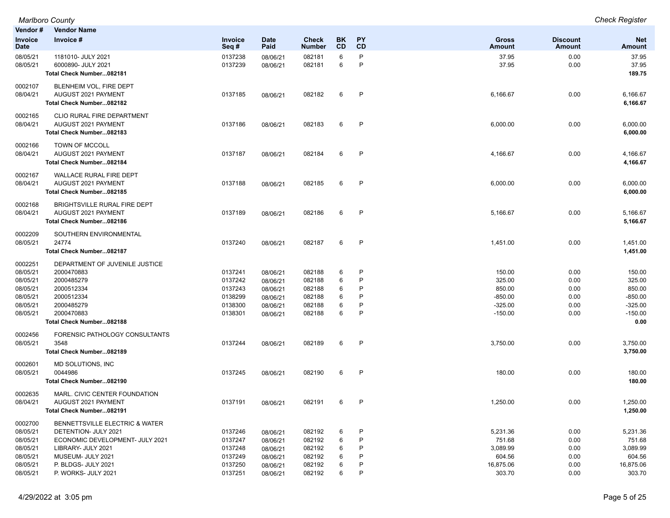| Vendor#                | <b>Vendor Name</b>                                     |                    |                      |                        |          |              |                        |                                  |                      |
|------------------------|--------------------------------------------------------|--------------------|----------------------|------------------------|----------|--------------|------------------------|----------------------------------|----------------------|
| Invoice<br><b>Date</b> | Invoice #                                              | Invoice<br>Seq#    | <b>Date</b><br>Paid  | Check<br><b>Number</b> | BK<br>CD | PY<br>CD     | <b>Gross</b><br>Amount | <b>Discount</b><br><b>Amount</b> | <b>Net</b><br>Amount |
| 08/05/21<br>08/05/21   | 1181010- JULY 2021<br>6000890- JULY 2021               | 0137238<br>0137239 | 08/06/21<br>08/06/21 | 082181<br>082181       | 6<br>6   | P<br>P       | 37.95<br>37.95         | 0.00<br>0.00                     | 37.95<br>37.95       |
|                        | Total Check Number082181                               |                    |                      |                        |          |              |                        |                                  | 189.75               |
| 0002107<br>08/04/21    | BLENHEIM VOL, FIRE DEPT<br>AUGUST 2021 PAYMENT         | 0137185            | 08/06/21             | 082182                 | 6        | $\mathsf{P}$ | 6,166.67               | 0.00                             | 6,166.67             |
|                        | Total Check Number082182                               |                    |                      |                        |          |              |                        |                                  | 6,166.67             |
| 0002165<br>08/04/21    | CLIO RURAL FIRE DEPARTMENT<br>AUGUST 2021 PAYMENT      | 0137186            |                      |                        | 6        | P            |                        | 0.00                             |                      |
|                        | Total Check Number082183                               |                    | 08/06/21             | 082183                 |          |              | 6,000.00               |                                  | 6,000.00<br>6,000.00 |
| 0002166                | <b>TOWN OF MCCOLL</b>                                  |                    |                      |                        |          |              |                        |                                  |                      |
| 08/04/21               | AUGUST 2021 PAYMENT<br>Total Check Number082184        | 0137187            | 08/06/21             | 082184                 | 6        | $\mathsf{P}$ | 4,166.67               | 0.00                             | 4,166.67<br>4,166.67 |
| 0002167                | <b>WALLACE RURAL FIRE DEPT</b>                         |                    |                      |                        |          |              |                        |                                  |                      |
| 08/04/21               | AUGUST 2021 PAYMENT<br>Total Check Number082185        | 0137188            | 08/06/21             | 082185                 | 6        | P            | 6,000.00               | 0.00                             | 6,000.00<br>6,000.00 |
| 0002168                | BRIGHTSVILLE RURAL FIRE DEPT                           |                    |                      |                        |          |              |                        |                                  |                      |
| 08/04/21               | AUGUST 2021 PAYMENT<br>Total Check Number082186        | 0137189            | 08/06/21             | 082186                 | 6        | P            | 5,166.67               | 0.00                             | 5,166.67<br>5,166.67 |
| 0002209                | SOUTHERN ENVIRONMENTAL<br>24774                        |                    |                      |                        |          | $\mathsf{P}$ |                        |                                  |                      |
| 08/05/21               | Total Check Number082187                               | 0137240            | 08/06/21             | 082187                 | 6        |              | 1,451.00               | 0.00                             | 1,451.00<br>1,451.00 |
| 0002251                | DEPARTMENT OF JUVENILE JUSTICE                         |                    |                      |                        |          |              |                        |                                  |                      |
| 08/05/21               | 2000470883                                             | 0137241            | 08/06/21             | 082188                 | 6        | P<br>P       | 150.00                 | 0.00                             | 150.00               |
| 08/05/21<br>08/05/21   | 2000485279<br>2000512334                               | 0137242<br>0137243 | 08/06/21             | 082188<br>082188       | 6<br>6   | P            | 325.00<br>850.00       | 0.00<br>0.00                     | 325.00<br>850.00     |
| 08/05/21               | 2000512334                                             | 0138299            | 08/06/21             | 082188                 | 6        | P            | $-850.00$              | 0.00                             | $-850.00$            |
| 08/05/21               | 2000485279                                             | 0138300            | 08/06/21<br>08/06/21 | 082188                 | 6        | P            | $-325.00$              | 0.00                             | $-325.00$            |
| 08/05/21               | 2000470883                                             | 0138301            |                      | 082188                 | 6        | P            | $-150.00$              | 0.00                             | $-150.00$            |
|                        | Total Check Number082188                               |                    | 08/06/21             |                        |          |              |                        |                                  | 0.00                 |
| 0002456<br>08/05/21    | FORENSIC PATHOLOGY CONSULTANTS<br>3548                 | 0137244            |                      | 082189                 | 6        | $\mathsf{P}$ | 3,750.00               | 0.00                             | 3,750.00             |
|                        | Total Check Number082189                               |                    | 08/06/21             |                        |          |              |                        |                                  | 3,750.00             |
| 0002601<br>08/05/21    | MD SOLUTIONS, INC<br>0044986                           | 0137245            |                      | 082190                 | 6        | P            | 180.00                 | 0.00                             | 180.00               |
|                        | Total Check Number082190                               |                    | 08/06/21             |                        |          |              |                        |                                  | 180.00               |
| 0002635<br>08/04/21    | MARL. CIVIC CENTER FOUNDATION<br>AUGUST 2021 PAYMENT   | 0137191            |                      | 082191                 | 6        | P            | 1,250.00               | 0.00                             | 1,250.00             |
|                        | Total Check Number082191                               |                    | 08/06/21             |                        |          |              |                        |                                  | 1,250.00             |
| 0002700<br>08/05/21    | BENNETTSVILLE ELECTRIC & WATER<br>DETENTION- JULY 2021 | 0137246            |                      | 082192                 | 6        | $\mathsf{P}$ | 5,231.36               | 0.00                             |                      |
| 08/05/21               | ECONOMIC DEVELOPMENT- JULY 2021                        | 0137247            | 08/06/21             | 082192                 | 6        | P            | 751.68                 | 0.00                             | 5,231.36<br>751.68   |
| 08/05/21               | LIBRARY- JULY 2021                                     | 0137248            | 08/06/21<br>08/06/21 | 082192                 | 6        | P            | 3,089.99               | 0.00                             | 3,089.99             |
| 08/05/21               | MUSEUM- JULY 2021                                      | 0137249            | 08/06/21             | 082192                 | 6        | P            | 604.56                 | 0.00                             | 604.56               |
| 08/05/21               | P. BLDGS- JULY 2021                                    | 0137250            | 08/06/21             | 082192                 | 6        | P            | 16,875.06              | 0.00                             | 16,875.06            |
| 08/05/21               | P. WORKS- JULY 2021                                    | 0137251            | 08/06/21             | 082192                 | 6        | P            | 303.70                 | 0.00                             | 303.70               |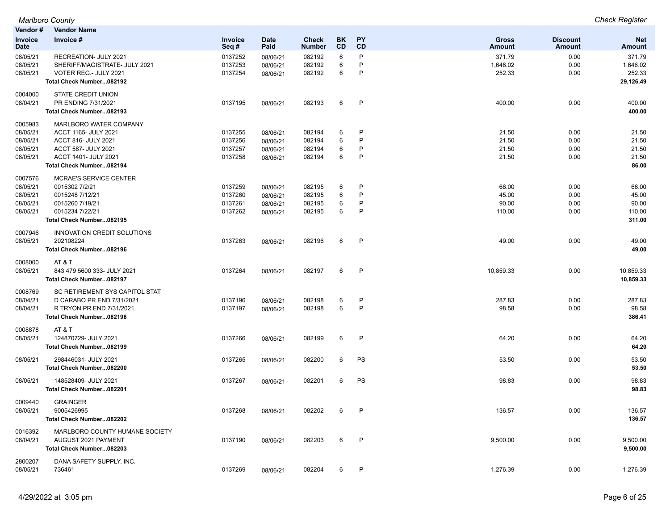| Vendor#                | <b>Vendor Name</b>             |                 |                     |                               |                 |                        |                               |                                  |                      |
|------------------------|--------------------------------|-----------------|---------------------|-------------------------------|-----------------|------------------------|-------------------------------|----------------------------------|----------------------|
| Invoice<br><b>Date</b> | Invoice #                      | Invoice<br>Seq# | <b>Date</b><br>Paid | <b>Check</b><br><b>Number</b> | BK<br><b>CD</b> | <b>PY</b><br><b>CD</b> | <b>Gross</b><br><b>Amount</b> | <b>Discount</b><br><b>Amount</b> | <b>Net</b><br>Amount |
| 08/05/21               | RECREATION- JULY 2021          | 0137252         | 08/06/21            | 082192                        | 6               | P                      | 371.79                        | 0.00                             | 371.79               |
| 08/05/21               | SHERIFF/MAGISTRATE- JULY 2021  | 0137253         | 08/06/21            | 082192                        | 6               | P                      | 1,646.02                      | 0.00                             | 1,646.02             |
| 08/05/21               | VOTER REG.- JULY 2021          | 0137254         | 08/06/21            | 082192                        | 6               | P                      | 252.33                        | 0.00                             | 252.33               |
|                        | Total Check Number082192       |                 |                     |                               |                 |                        |                               |                                  | 29,126.49            |
| 0004000                | STATE CREDIT UNION             |                 |                     |                               |                 |                        |                               |                                  |                      |
| 08/04/21               | PR ENDING 7/31/2021            | 0137195         | 08/06/21            | 082193                        | 6               | P                      | 400.00                        | 0.00                             | 400.00               |
|                        | Total Check Number082193       |                 |                     |                               |                 |                        |                               |                                  | 400.00               |
| 0005983                | MARLBORO WATER COMPANY         |                 |                     |                               |                 |                        |                               |                                  |                      |
| 08/05/21               | ACCT 1165- JULY 2021           | 0137255         | 08/06/21            | 082194                        | 6               | P                      | 21.50                         | 0.00                             | 21.50                |
| 08/05/21               | ACCT 816- JULY 2021            | 0137256         | 08/06/21            | 082194                        | 6               | P                      | 21.50                         | 0.00                             | 21.50                |
| 08/05/21               | ACCT 587- JULY 2021            | 0137257         | 08/06/21            | 082194                        | 6               | P                      | 21.50                         | 0.00                             | 21.50                |
| 08/05/21               | ACCT 1401- JULY 2021           | 0137258         | 08/06/21            | 082194                        | 6               | P                      | 21.50                         | 0.00                             | 21.50                |
|                        | Total Check Number082194       |                 |                     |                               |                 |                        |                               |                                  | 86.00                |
| 0007576                | <b>MCRAE'S SERVICE CENTER</b>  |                 |                     |                               |                 |                        |                               |                                  |                      |
| 08/05/21               | 0015302 7/2/21                 | 0137259         | 08/06/21            | 082195                        | 6               | P                      | 66.00                         | 0.00                             | 66.00                |
| 08/05/21               | 0015248 7/12/21                | 0137260         | 08/06/21            | 082195                        | 6               | P                      | 45.00                         | 0.00                             | 45.00                |
| 08/05/21               | 0015260 7/19/21                | 0137261         | 08/06/21            | 082195                        | 6               | P                      | 90.00                         | 0.00                             | 90.00                |
| 08/05/21               | 0015234 7/22/21                | 0137262         | 08/06/21            | 082195                        | 6               | P                      | 110.00                        | 0.00                             | 110.00               |
|                        | Total Check Number082195       |                 |                     |                               |                 |                        |                               |                                  | 311.00               |
| 0007946                | INNOVATION CREDIT SOLUTIONS    |                 |                     |                               |                 |                        |                               |                                  |                      |
| 08/05/21               | 202108224                      | 0137263         | 08/06/21            | 082196                        | 6               | P                      | 49.00                         | 0.00                             | 49.00                |
|                        | Total Check Number082196       |                 |                     |                               |                 |                        |                               |                                  | 49.00                |
| 0008000                | AT&T                           |                 |                     |                               |                 |                        |                               |                                  |                      |
| 08/05/21               | 843 479 5600 333- JULY 2021    | 0137264         | 08/06/21            | 082197                        | 6               | P                      | 10,859.33                     | 0.00                             | 10,859.33            |
|                        | Total Check Number082197       |                 |                     |                               |                 |                        |                               |                                  | 10,859.33            |
| 0008769                | SC RETIREMENT SYS CAPITOL STAT |                 |                     |                               |                 |                        |                               |                                  |                      |
| 08/04/21               | D CARABO PR END 7/31/2021      | 0137196         | 08/06/21            | 082198                        | 6               | P                      | 287.83                        | 0.00                             | 287.83               |
| 08/04/21               | R TRYON PR END 7/31/2021       | 0137197         | 08/06/21            | 082198                        | 6               | P                      | 98.58                         | 0.00                             | 98.58                |
|                        | Total Check Number082198       |                 |                     |                               |                 |                        |                               |                                  | 386.41               |
| 0008878                | AT&T                           |                 |                     |                               |                 |                        |                               |                                  |                      |
| 08/05/21               | 124870729- JULY 2021           | 0137266         | 08/06/21            | 082199                        | 6               | P                      | 64.20                         | 0.00                             | 64.20                |
|                        | Total Check Number082199       |                 |                     |                               |                 |                        |                               |                                  | 64.20                |
| 08/05/21               | 298446031- JULY 2021           | 0137265         | 08/06/21            | 082200                        | 6               | PS                     | 53.50                         | 0.00                             | 53.50                |
|                        | Total Check Number082200       |                 |                     |                               |                 |                        |                               |                                  | 53.50                |
| 08/05/21               | 148528409- JULY 2021           | 0137267         | 08/06/21            | 082201                        | 6               | PS                     | 98.83                         | 0.00                             | 98.83                |
|                        | Total Check Number082201       |                 |                     |                               |                 |                        |                               |                                  | 98.83                |
| 0009440                | <b>GRAINGER</b>                |                 |                     |                               |                 |                        |                               |                                  |                      |
| 08/05/21               | 9005426995                     | 0137268         | 08/06/21            | 082202                        | 6               | P                      | 136.57                        | 0.00                             | 136.57               |
|                        | Total Check Number082202       |                 |                     |                               |                 |                        |                               |                                  | 136.57               |
| 0016392                | MARLBORO COUNTY HUMANE SOCIETY |                 |                     |                               |                 |                        |                               |                                  |                      |
| 08/04/21               | AUGUST 2021 PAYMENT            | 0137190         | 08/06/21            | 082203                        | 6               | P                      | 9,500.00                      | 0.00                             | 9,500.00             |
|                        | Total Check Number082203       |                 |                     |                               |                 |                        |                               |                                  | 9,500.00             |
| 2800207                | DANA SAFETY SUPPLY, INC.       |                 |                     |                               |                 |                        |                               |                                  |                      |
| 08/05/21               | 736461                         | 0137269         | 08/06/21            | 082204                        | 6               | P                      | 1,276.39                      | 0.00                             | 1,276.39             |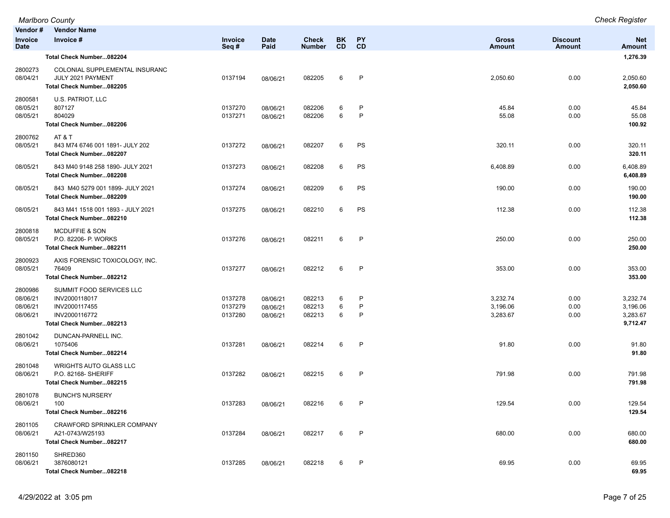|                                             | Marlboro County                                                                                         |                               |                                  |                               |                        |                        |                                  |                           | <b>Check Register</b>                        |
|---------------------------------------------|---------------------------------------------------------------------------------------------------------|-------------------------------|----------------------------------|-------------------------------|------------------------|------------------------|----------------------------------|---------------------------|----------------------------------------------|
| Vendor#                                     | <b>Vendor Name</b>                                                                                      |                               |                                  |                               |                        |                        |                                  |                           |                                              |
| Invoice<br><b>Date</b>                      | Invoice #                                                                                               | Invoice<br>Seq#               | <b>Date</b><br>Paid              | <b>Check</b><br><b>Number</b> | <b>BK</b><br><b>CD</b> | PY<br><b>CD</b>        | <b>Gross</b><br><b>Amount</b>    | <b>Discount</b><br>Amount | <b>Net</b><br><b>Amount</b>                  |
|                                             | Total Check Number082204                                                                                |                               |                                  |                               |                        |                        |                                  |                           | 1,276.39                                     |
| 2800273<br>08/04/21                         | COLONIAL SUPPLEMENTAL INSURANC<br>JULY 2021 PAYMENT<br>Total Check Number082205                         | 0137194                       | 08/06/21                         | 082205                        | 6                      | P                      | 2,050.60                         | 0.00                      | 2,050.60<br>2,050.60                         |
| 2800581<br>08/05/21<br>08/05/21             | U.S. PATRIOT, LLC<br>807127<br>804029<br>Total Check Number082206                                       | 0137270<br>0137271            | 08/06/21<br>08/06/21             | 082206<br>082206              | 6<br>6                 | P<br>$\mathsf{P}$      | 45.84<br>55.08                   | 0.00<br>0.00              | 45.84<br>55.08<br>100.92                     |
| 2800762<br>08/05/21                         | AT & T<br>843 M74 6746 001 1891- JULY 202<br>Total Check Number082207                                   | 0137272                       | 08/06/21                         | 082207                        | 6                      | PS                     | 320.11                           | 0.00                      | 320.11<br>320.11                             |
| 08/05/21                                    | 843 M40 9148 258 1890- JULY 2021<br>Total Check Number082208                                            | 0137273                       | 08/06/21                         | 082208                        | 6                      | PS                     | 6,408.89                         | 0.00                      | 6,408.89<br>6,408.89                         |
| 08/05/21                                    | 843 M40 5279 001 1899- JULY 2021<br>Total Check Number082209                                            | 0137274                       | 08/06/21                         | 082209                        | 6                      | PS                     | 190.00                           | 0.00                      | 190.00<br>190.00                             |
| 08/05/21                                    | 843 M41 1518 001 1893 - JULY 2021<br>Total Check Number082210                                           | 0137275                       | 08/06/21                         | 082210                        | 6                      | PS                     | 112.38                           | 0.00                      | 112.38<br>112.38                             |
| 2800818<br>08/05/21                         | <b>MCDUFFIE &amp; SON</b><br>P.O. 82206- P. WORKS<br>Total Check Number082211                           | 0137276                       | 08/06/21                         | 082211                        | 6                      | P                      | 250.00                           | 0.00                      | 250.00<br>250.00                             |
| 2800923<br>08/05/21                         | AXIS FORENSIC TOXICOLOGY, INC.<br>76409<br>Total Check Number082212                                     | 0137277                       | 08/06/21                         | 082212                        | 6                      | $\mathsf{P}$           | 353.00                           | 0.00                      | 353.00<br>353.00                             |
| 2800986<br>08/06/21<br>08/06/21<br>08/06/21 | SUMMIT FOOD SERVICES LLC<br>INV2000118017<br>INV2000117455<br>INV2000116772<br>Total Check Number082213 | 0137278<br>0137279<br>0137280 | 08/06/21<br>08/06/21<br>08/06/21 | 082213<br>082213<br>082213    | 6<br>6<br>6            | P<br>$\mathsf{P}$<br>P | 3,232.74<br>3,196.06<br>3,283.67 | 0.00<br>0.00<br>0.00      | 3,232.74<br>3,196.06<br>3,283.67<br>9,712.47 |
| 2801042<br>08/06/21                         | DUNCAN-PARNELL INC.<br>1075406<br>Total Check Number082214                                              | 0137281                       | 08/06/21                         | 082214                        | 6                      | P                      | 91.80                            | 0.00                      | 91.80<br>91.80                               |
| 2801048<br>08/06/21                         | <b>WRIGHTS AUTO GLASS LLC</b><br>P.O. 82168- SHERIFF<br>Total Check Number082215                        | 0137282                       | 08/06/21                         | 082215                        | 6                      | $\mathsf{P}$           | 791.98                           | 0.00                      | 791.98<br>791.98                             |
| 2801078<br>08/06/21                         | <b>BUNCH'S NURSERY</b><br>100<br>Total Check Number082216                                               | 0137283                       | 08/06/21                         | 082216                        | 6                      | P                      | 129.54                           | 0.00                      | 129.54<br>129.54                             |
| 2801105<br>08/06/21                         | CRAWFORD SPRINKLER COMPANY<br>A21-0743/W25193<br>Total Check Number082217                               | 0137284                       | 08/06/21                         | 082217                        | 6                      | P                      | 680.00                           | 0.00                      | 680.00<br>680.00                             |
| 2801150<br>08/06/21                         | SHRED360<br>3876080121<br>Total Check Number082218                                                      | 0137285                       | 08/06/21                         | 082218                        | 6                      | $\mathsf{P}$           | 69.95                            | 0.00                      | 69.95<br>69.95                               |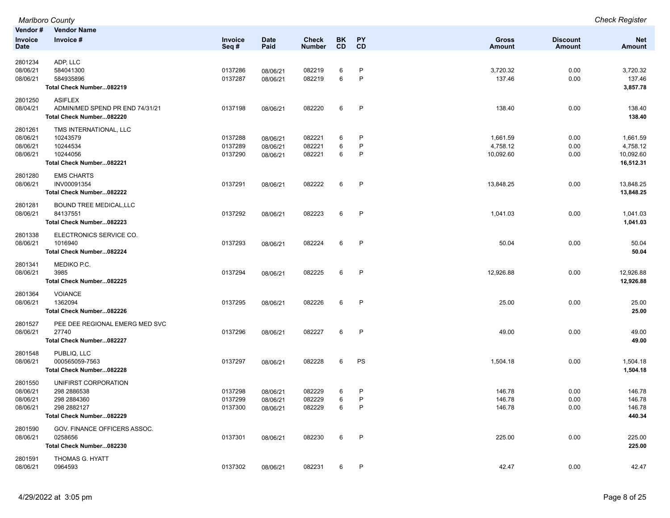|                                             | <b>Marlboro County</b>                                                                        |                               |                                  |                            |             |              |                                   |                      | <b>Check Register</b>                          |
|---------------------------------------------|-----------------------------------------------------------------------------------------------|-------------------------------|----------------------------------|----------------------------|-------------|--------------|-----------------------------------|----------------------|------------------------------------------------|
| Vendor#                                     | <b>Vendor Name</b>                                                                            |                               |                                  |                            |             |              |                                   |                      |                                                |
| Invoice                                     | Invoice #                                                                                     | Invoice                       | Date                             | <b>Check</b>               | BK          | <b>PY</b>    | Gross                             | <b>Discount</b>      | <b>Net</b>                                     |
| <b>Date</b>                                 |                                                                                               | Seq#                          | Paid                             | <b>Number</b>              | CD          | CD           | <b>Amount</b>                     | <b>Amount</b>        | <b>Amount</b>                                  |
| 2801234<br>08/06/21<br>08/06/21             | ADP, LLC<br>584041300<br>584935896<br>Total Check Number082219                                | 0137286<br>0137287            | 08/06/21<br>08/06/21             | 082219<br>082219           | 6<br>6      | P<br>P       | 3,720.32<br>137.46                | 0.00<br>0.00         | 3,720.32<br>137.46<br>3,857.78                 |
|                                             |                                                                                               |                               |                                  |                            |             |              |                                   |                      |                                                |
| 2801250<br>08/04/21                         | <b>ASIFLEX</b><br>ADMIN/MED SPEND PR END 74/31/21<br>Total Check Number082220                 | 0137198                       | 08/06/21                         | 082220                     | 6           | P            | 138.40                            | 0.00                 | 138.40<br>138.40                               |
| 2801261<br>08/06/21<br>08/06/21<br>08/06/21 | TMS INTERNATIONAL, LLC<br>10243579<br>10244534<br>10244056<br>Total Check Number082221        | 0137288<br>0137289<br>0137290 | 08/06/21<br>08/06/21<br>08/06/21 | 082221<br>082221<br>082221 | 6<br>6<br>6 | P<br>P<br>P  | 1,661.59<br>4,758.12<br>10,092.60 | 0.00<br>0.00<br>0.00 | 1,661.59<br>4,758.12<br>10,092.60<br>16,512.31 |
| 2801280<br>08/06/21                         | <b>EMS CHARTS</b><br>INV00091354<br>Total Check Number082222                                  | 0137291                       | 08/06/21                         | 082222                     | 6           | $\mathsf{P}$ | 13,848.25                         | 0.00                 | 13,848.25<br>13,848.25                         |
| 2801281<br>08/06/21                         | <b>BOUND TREE MEDICAL, LLC</b><br>84137551<br>Total Check Number082223                        | 0137292                       | 08/06/21                         | 082223                     | 6           | P            | 1,041.03                          | 0.00                 | 1,041.03<br>1,041.03                           |
| 2801338<br>08/06/21                         | ELECTRONICS SERVICE CO.<br>1016940<br>Total Check Number082224                                | 0137293                       | 08/06/21                         | 082224                     | 6           | P            | 50.04                             | 0.00                 | 50.04<br>50.04                                 |
| 2801341<br>08/06/21                         | MEDIKO P.C.<br>3985<br>Total Check Number082225                                               | 0137294                       | 08/06/21                         | 082225                     | 6           | P            | 12,926.88                         | 0.00                 | 12,926.88<br>12,926.88                         |
| 2801364<br>08/06/21                         | <b>VOIANCE</b><br>1362094<br>Total Check Number082226                                         | 0137295                       | 08/06/21                         | 082226                     | 6           | P            | 25.00                             | 0.00                 | 25.00<br>25.00                                 |
| 2801527<br>08/06/21                         | PEE DEE REGIONAL EMERG MED SVC<br>27740<br>Total Check Number082227                           | 0137296                       | 08/06/21                         | 082227                     | 6           | P            | 49.00                             | 0.00                 | 49.00<br>49.00                                 |
| 2801548<br>08/06/21                         | PUBLIQ, LLC<br>000565059-7563<br>Total Check Number082228                                     | 0137297                       | 08/06/21                         | 082228                     | 6           | PS           | 1,504.18                          | 0.00                 | 1,504.18<br>1,504.18                           |
| 2801550<br>08/06/21<br>08/06/21<br>08/06/21 | UNIFIRST CORPORATION<br>298 2886538<br>298 2884360<br>298 2882127<br>Total Check Number082229 | 0137298<br>0137299<br>0137300 | 08/06/21<br>08/06/21<br>08/06/21 | 082229<br>082229<br>082229 | 6<br>6<br>6 | P<br>P<br>P  | 146.78<br>146.78<br>146.78        | 0.00<br>0.00<br>0.00 | 146.78<br>146.78<br>146.78<br>440.34           |
| 2801590<br>08/06/21                         | GOV. FINANCE OFFICERS ASSOC.<br>0258656<br>Total Check Number082230                           | 0137301                       | 08/06/21                         | 082230                     | 6           | $\mathsf{P}$ | 225.00                            | 0.00                 | 225.00<br>225.00                               |
| 2801591<br>08/06/21                         | THOMAS G. HYATT<br>0964593                                                                    | 0137302                       | 08/06/21                         | 082231                     | 6           | P            | 42.47                             | 0.00                 | 42.47                                          |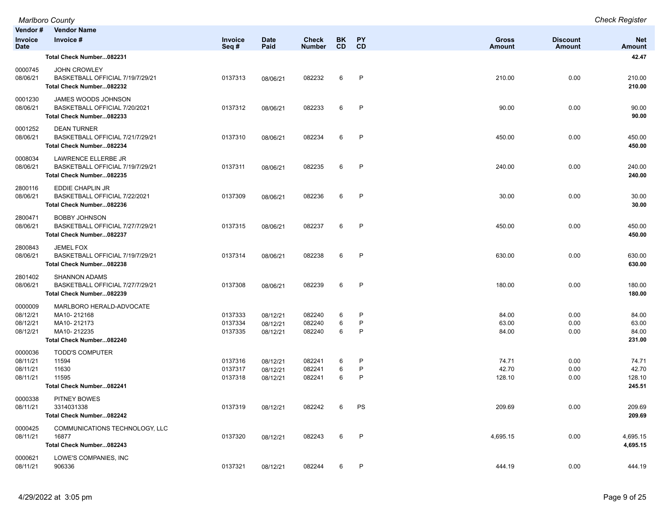|                                             | <b>Marlboro County</b>                                                                            |                               |                                  |                               |                  |                        |                               |                           | <b>Check Register</b>              |
|---------------------------------------------|---------------------------------------------------------------------------------------------------|-------------------------------|----------------------------------|-------------------------------|------------------|------------------------|-------------------------------|---------------------------|------------------------------------|
| Vendor#<br><b>Invoice</b><br><b>Date</b>    | <b>Vendor Name</b><br>Invoice #                                                                   | Invoice<br>Seq#               | <b>Date</b><br>Paid              | <b>Check</b><br><b>Number</b> | BK.<br><b>CD</b> | <b>PY</b><br><b>CD</b> | <b>Gross</b><br><b>Amount</b> | <b>Discount</b><br>Amount | <b>Net</b><br><b>Amount</b>        |
|                                             | Total Check Number082231                                                                          |                               |                                  |                               |                  |                        |                               |                           | 42.47                              |
| 0000745<br>08/06/21                         | <b>JOHN CROWLEY</b><br>BASKETBALL OFFICIAL 7/19/7/29/21<br>Total Check Number082232               | 0137313                       | 08/06/21                         | 082232                        | 6                | P                      | 210.00                        | 0.00                      | 210.00<br>210.00                   |
| 0001230<br>08/06/21                         | JAMES WOODS JOHNSON<br>BASKETBALL OFFICIAL 7/20/2021<br>Total Check Number082233                  | 0137312                       | 08/06/21                         | 082233                        | 6                | $\mathsf{P}$           | 90.00                         | 0.00                      | 90.00<br>90.00                     |
| 0001252<br>08/06/21                         | <b>DEAN TURNER</b><br>BASKETBALL OFFICIAL 7/21/7/29/21<br>Total Check Number082234                | 0137310                       | 08/06/21                         | 082234                        | 6                | $\mathsf{P}$           | 450.00                        | 0.00                      | 450.00<br>450.00                   |
| 0008034<br>08/06/21                         | LAWRENCE ELLERBE JR<br>BASKETBALL OFFICIAL 7/19/7/29/21<br>Total Check Number082235               | 0137311                       | 08/06/21                         | 082235                        | 6                | P                      | 240.00                        | 0.00                      | 240.00<br>240.00                   |
| 2800116<br>08/06/21                         | EDDIE CHAPLIN JR<br>BASKETBALL OFFICIAL 7/22/2021<br>Total Check Number082236                     | 0137309                       | 08/06/21                         | 082236                        | 6                | $\mathsf{P}$           | 30.00                         | 0.00                      | 30.00<br>30.00                     |
| 2800471<br>08/06/21                         | <b>BOBBY JOHNSON</b><br>BASKETBALL OFFICIAL 7/27/7/29/21<br>Total Check Number082237              | 0137315                       | 08/06/21                         | 082237                        | 6                | P                      | 450.00                        | 0.00                      | 450.00<br>450.00                   |
| 2800843<br>08/06/21                         | <b>JEMEL FOX</b><br>BASKETBALL OFFICIAL 7/19/7/29/21<br>Total Check Number082238                  | 0137314                       | 08/06/21                         | 082238                        | 6                | P                      | 630.00                        | 0.00                      | 630.00<br>630.00                   |
| 2801402<br>08/06/21                         | <b>SHANNON ADAMS</b><br>BASKETBALL OFFICIAL 7/27/7/29/21<br>Total Check Number082239              | 0137308                       | 08/06/21                         | 082239                        | 6                | $\mathsf{P}$           | 180.00                        | 0.00                      | 180.00<br>180.00                   |
| 0000009<br>08/12/21<br>08/12/21<br>08/12/21 | MARLBORO HERALD-ADVOCATE<br>MA10-212168<br>MA10-212173<br>MA10-212235<br>Total Check Number082240 | 0137333<br>0137334<br>0137335 | 08/12/21<br>08/12/21<br>08/12/21 | 082240<br>082240<br>082240    | 6<br>6<br>6      | P<br>P<br>P            | 84.00<br>63.00<br>84.00       | 0.00<br>0.00<br>0.00      | 84.00<br>63.00<br>84.00<br>231.00  |
| 0000036<br>08/11/21<br>08/11/21<br>08/11/21 | <b>TODD'S COMPUTER</b><br>11594<br>11630<br>11595<br>Total Check Number082241                     | 0137316<br>0137317<br>0137318 | 08/12/21<br>08/12/21<br>08/12/21 | 082241<br>082241<br>082241    | 6<br>6<br>6      | P<br>P<br>P            | 74.71<br>42.70<br>128.10      | 0.00<br>0.00<br>0.00      | 74.71<br>42.70<br>128.10<br>245.51 |
| 0000338<br>08/11/21                         | PITNEY BOWES<br>3314031338<br>Total Check Number082242                                            | 0137319                       | 08/12/21                         | 082242                        | 6                | PS                     | 209.69                        | 0.00                      | 209.69<br>209.69                   |
| 0000425<br>08/11/21                         | COMMUNICATIONS TECHNOLOGY, LLC<br>16877<br>Total Check Number082243                               | 0137320                       | 08/12/21                         | 082243                        | 6                | $\mathsf{P}$           | 4,695.15                      | 0.00                      | 4,695.15<br>4,695.15               |
| 0000621<br>08/11/21                         | LOWE'S COMPANIES, INC<br>906336                                                                   | 0137321                       | 08/12/21                         | 082244                        | 6                | P                      | 444.19                        | 0.00                      | 444.19                             |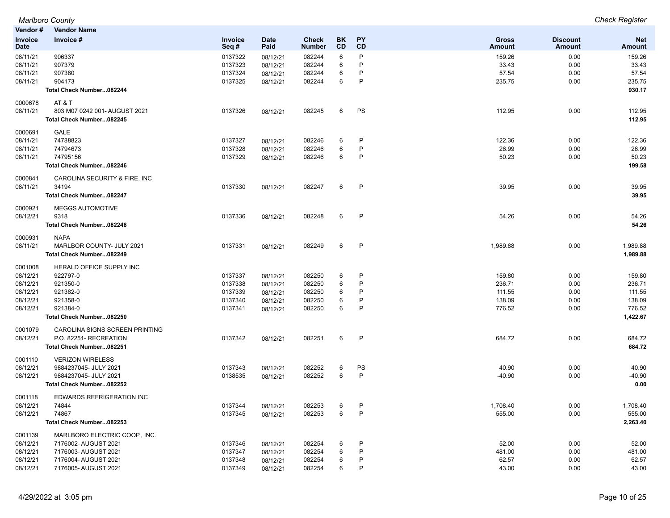| Vendor #       | <b>Vendor Name</b>               |                |             |               |           |              |          |                 |            |
|----------------|----------------------------------|----------------|-------------|---------------|-----------|--------------|----------|-----------------|------------|
| <b>Invoice</b> | Invoice #                        | <b>Invoice</b> | <b>Date</b> | <b>Check</b>  | <b>BK</b> | PΥ           | Gross    | <b>Discount</b> | <b>Net</b> |
| Date           |                                  | Seq#           | Paid        | <b>Number</b> | CD        | CD           | Amount   | <b>Amount</b>   | Amount     |
| 08/11/21       | 906337                           | 0137322        | 08/12/21    | 082244        | 6         | P            | 159.26   | 0.00            | 159.26     |
| 08/11/21       | 907379                           | 0137323        | 08/12/21    | 082244        | 6         | P            | 33.43    | 0.00            | 33.43      |
| 08/11/21       | 907380                           | 0137324        | 08/12/21    | 082244        | 6         | P            | 57.54    | 0.00            | 57.54      |
| 08/11/21       | 904173                           | 0137325        | 08/12/21    | 082244        | 6         | P            | 235.75   | 0.00            | 235.75     |
|                | Total Check Number082244         |                |             |               |           |              |          |                 | 930.17     |
|                |                                  |                |             |               |           |              |          |                 |            |
| 0000678        | AT & T                           |                |             |               |           |              |          |                 |            |
| 08/11/21       | 803 M07 0242 001- AUGUST 2021    | 0137326        | 08/12/21    | 082245        | 6         | PS           | 112.95   | 0.00            | 112.95     |
|                | Total Check Number082245         |                |             |               |           |              |          |                 | 112.95     |
| 0000691        | GALE                             |                |             |               |           |              |          |                 |            |
| 08/11/21       | 74788823                         | 0137327        | 08/12/21    | 082246        | 6         | P            | 122.36   | 0.00            | 122.36     |
| 08/11/21       | 74794673                         | 0137328        | 08/12/21    | 082246        | 6         | P            | 26.99    | 0.00            | 26.99      |
| 08/11/21       | 74795156                         | 0137329        | 08/12/21    | 082246        | 6         | P            | 50.23    | 0.00            | 50.23      |
|                | Total Check Number082246         |                |             |               |           |              |          |                 | 199.58     |
|                |                                  |                |             |               |           |              |          |                 |            |
| 0000841        | CAROLINA SECURITY & FIRE, INC    |                |             |               |           |              |          |                 |            |
| 08/11/21       | 34194                            | 0137330        | 08/12/21    | 082247        | 6         | P            | 39.95    | 0.00            | 39.95      |
|                | Total Check Number082247         |                |             |               |           |              |          |                 | 39.95      |
| 0000921        | <b>MEGGS AUTOMOTIVE</b>          |                |             |               |           |              |          |                 |            |
| 08/12/21       | 9318                             | 0137336        | 08/12/21    | 082248        | 6         | $\mathsf{P}$ | 54.26    | 0.00            | 54.26      |
|                | Total Check Number082248         |                |             |               |           |              |          |                 | 54.26      |
|                |                                  |                |             |               |           |              |          |                 |            |
| 0000931        | <b>NAPA</b>                      |                |             |               |           |              |          |                 |            |
| 08/11/21       | MARLBOR COUNTY- JULY 2021        | 0137331        | 08/12/21    | 082249        | 6         | P            | 1,989.88 | 0.00            | 1,989.88   |
|                | Total Check Number082249         |                |             |               |           |              |          |                 | 1,989.88   |
| 0001008        | HERALD OFFICE SUPPLY INC         |                |             |               |           |              |          |                 |            |
| 08/12/21       | 922797-0                         | 0137337        | 08/12/21    | 082250        | 6         | P            | 159.80   | 0.00            | 159.80     |
| 08/12/21       | 921350-0                         | 0137338        | 08/12/21    | 082250        | 6         | P            | 236.71   | 0.00            | 236.71     |
| 08/12/21       | 921382-0                         | 0137339        | 08/12/21    | 082250        | 6         | P            | 111.55   | 0.00            | 111.55     |
| 08/12/21       | 921358-0                         | 0137340        | 08/12/21    | 082250        | 6         | P            | 138.09   | 0.00            | 138.09     |
| 08/12/21       | 921384-0                         | 0137341        | 08/12/21    | 082250        | 6         | P            | 776.52   | 0.00            | 776.52     |
|                | Total Check Number082250         |                |             |               |           |              |          |                 | 1,422.67   |
|                |                                  |                |             |               |           |              |          |                 |            |
| 0001079        | CAROLINA SIGNS SCREEN PRINTING   |                |             |               |           |              |          |                 |            |
| 08/12/21       | P.O. 82251- RECREATION           | 0137342        | 08/12/21    | 082251        | 6         | $\mathsf{P}$ | 684.72   | 0.00            | 684.72     |
|                | Total Check Number082251         |                |             |               |           |              |          |                 | 684.72     |
| 0001110        | <b>VERIZON WIRELESS</b>          |                |             |               |           |              |          |                 |            |
| 08/12/21       | 9884237045- JULY 2021            | 0137343        | 08/12/21    | 082252        | 6         | PS           | 40.90    | 0.00            | 40.90      |
| 08/12/21       | 9884237045- JULY 2021            | 0138535        | 08/12/21    | 082252        | 6         | $\mathsf{P}$ | $-40.90$ | 0.00            | $-40.90$   |
|                | Total Check Number082252         |                |             |               |           |              |          |                 | 0.00       |
|                |                                  |                |             |               |           |              |          |                 |            |
| 0001118        | <b>EDWARDS REFRIGERATION INC</b> |                |             |               |           |              |          |                 |            |
| 08/12/21       | 74844                            | 0137344        | 08/12/21    | 082253        | 6         | P            | 1,708.40 | 0.00            | 1.708.40   |
| 08/12/21       | 74867                            | 0137345        | 08/12/21    | 082253        | 6         | P            | 555.00   | 0.00            | 555.00     |
|                | Total Check Number082253         |                |             |               |           |              |          |                 | 2,263.40   |
| 0001139        | MARLBORO ELECTRIC COOP., INC.    |                |             |               |           |              |          |                 |            |
| 08/12/21       | 7176002- AUGUST 2021             | 0137346        | 08/12/21    | 082254        | 6         | P            | 52.00    | 0.00            | 52.00      |
| 08/12/21       | 7176003- AUGUST 2021             | 0137347        | 08/12/21    | 082254        | 6         | P            | 481.00   | 0.00            | 481.00     |
| 08/12/21       | 7176004- AUGUST 2021             | 0137348        | 08/12/21    | 082254        | 6         | P            | 62.57    | 0.00            | 62.57      |
| 08/12/21       | 7176005- AUGUST 2021             | 0137349        | 08/12/21    | 082254        | 6         | P            | 43.00    | 0.00            | 43.00      |
|                |                                  |                |             |               |           |              |          |                 |            |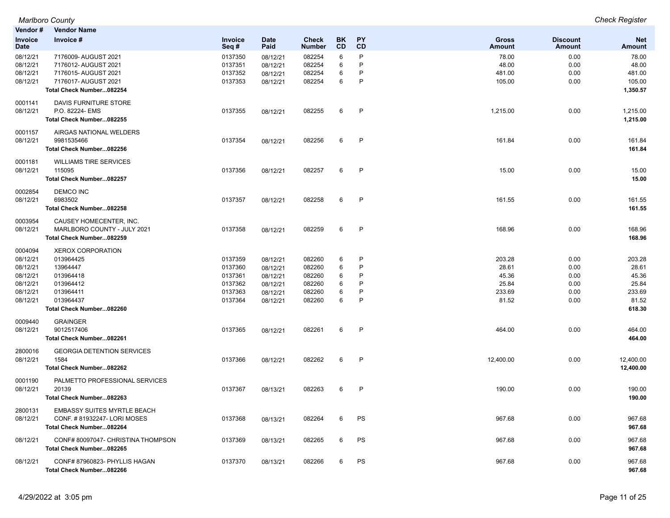| Vendor#                       | <b>Vendor Name</b>                    |                 |                     |                               |          |                 |                        |                                  |                      |
|-------------------------------|---------------------------------------|-----------------|---------------------|-------------------------------|----------|-----------------|------------------------|----------------------------------|----------------------|
| <b>Invoice</b><br><b>Date</b> | Invoice #                             | Invoice<br>Seq# | <b>Date</b><br>Paid | <b>Check</b><br><b>Number</b> | BK<br>CD | <b>PY</b><br>CD | <b>Gross</b><br>Amount | <b>Discount</b><br><b>Amount</b> | <b>Net</b><br>Amount |
| 08/12/21                      | 7176009- AUGUST 2021                  | 0137350         | 08/12/21            | 082254                        | 6        | P               | 78.00                  | 0.00                             | 78.00                |
| 08/12/21                      | 7176012- AUGUST 2021                  | 0137351         | 08/12/21            | 082254                        | 6        | P               | 48.00                  | 0.00                             | 48.00                |
| 08/12/21                      | 7176015- AUGUST 2021                  | 0137352         | 08/12/21            | 082254                        | 6        | P               | 481.00                 | 0.00                             | 481.00               |
| 08/12/21                      | 7176017- AUGUST 2021                  | 0137353         | 08/12/21            | 082254                        | 6        | P               | 105.00                 | 0.00                             | 105.00               |
|                               | Total Check Number082254              |                 |                     |                               |          |                 |                        |                                  | 1,350.57             |
| 0001141                       | DAVIS FURNITURE STORE                 |                 |                     |                               |          |                 |                        |                                  |                      |
| 08/12/21                      | P.O. 82224- EMS                       | 0137355         | 08/12/21            | 082255                        | 6        | $\mathsf{P}$    | 1,215.00               | 0.00                             | 1,215.00             |
|                               | Total Check Number082255              |                 |                     |                               |          |                 |                        |                                  | 1,215.00             |
| 0001157<br>08/12/21           | AIRGAS NATIONAL WELDERS<br>9981535466 |                 |                     |                               |          | P               | 161.84                 |                                  |                      |
|                               |                                       | 0137354         | 08/12/21            | 082256                        | 6        |                 |                        | 0.00                             | 161.84               |
|                               | Total Check Number082256              |                 |                     |                               |          |                 |                        |                                  | 161.84               |
| 0001181                       | <b>WILLIAMS TIRE SERVICES</b>         |                 |                     |                               |          |                 |                        |                                  |                      |
| 08/12/21                      | 115095                                | 0137356         | 08/12/21            | 082257                        | 6        | P               | 15.00                  | 0.00                             | 15.00                |
|                               | Total Check Number082257              |                 |                     |                               |          |                 |                        |                                  | 15.00                |
| 0002854                       | <b>DEMCO INC</b>                      |                 |                     |                               |          |                 |                        |                                  |                      |
| 08/12/21                      | 6983502                               | 0137357         | 08/12/21            | 082258                        | 6        | $\mathsf{P}$    | 161.55                 | 0.00                             | 161.55               |
|                               | Total Check Number082258              |                 |                     |                               |          |                 |                        |                                  | 161.55               |
| 0003954                       | CAUSEY HOMECENTER, INC.               |                 |                     |                               |          |                 |                        |                                  |                      |
| 08/12/21                      | MARLBORO COUNTY - JULY 2021           | 0137358         | 08/12/21            | 082259                        | 6        | P               | 168.96                 | 0.00                             | 168.96               |
|                               | Total Check Number082259              |                 |                     |                               |          |                 |                        |                                  | 168.96               |
| 0004094                       | <b>XEROX CORPORATION</b>              |                 |                     |                               |          |                 |                        |                                  |                      |
| 08/12/21                      | 013964425                             | 0137359         | 08/12/21            | 082260                        | 6        | P               | 203.28                 | 0.00                             | 203.28               |
| 08/12/21                      | 13964447                              | 0137360         | 08/12/21            | 082260                        | 6        | P               | 28.61                  | 0.00                             | 28.61                |
| 08/12/21                      | 013964418                             | 0137361         | 08/12/21            | 082260                        | 6        | P               | 45.36                  | 0.00                             | 45.36                |
| 08/12/21                      | 013964412                             | 0137362         | 08/12/21            | 082260                        | 6        | P               | 25.84                  | 0.00                             | 25.84                |
| 08/12/21                      | 013964411                             | 0137363         | 08/12/21            | 082260                        | 6        | P               | 233.69                 | 0.00                             | 233.69               |
| 08/12/21                      | 013964437                             | 0137364         | 08/12/21            | 082260                        | 6        | P               | 81.52                  | 0.00                             | 81.52                |
|                               | Total Check Number082260              |                 |                     |                               |          |                 |                        |                                  | 618.30               |
| 0009440                       | <b>GRAINGER</b>                       |                 |                     |                               |          |                 |                        |                                  |                      |
| 08/12/21                      | 9012517406                            | 0137365         | 08/12/21            | 082261                        | 6        | P               | 464.00                 | 0.00                             | 464.00               |
|                               | Total Check Number082261              |                 |                     |                               |          |                 |                        |                                  | 464.00               |
| 2800016                       | <b>GEORGIA DETENTION SERVICES</b>     |                 |                     |                               |          |                 |                        |                                  |                      |
| 08/12/21                      | 1584                                  | 0137366         | 08/12/21            | 082262                        | 6        | $\mathsf{P}$    | 12,400.00              | 0.00                             | 12,400.00            |
|                               | Total Check Number082262              |                 |                     |                               |          |                 |                        |                                  | 12,400.00            |
| 0001190                       | PALMETTO PROFESSIONAL SERVICES        |                 |                     |                               |          |                 |                        |                                  |                      |
| 08/12/21                      | 20139                                 | 0137367         | 08/13/21            | 082263                        | 6        | P               | 190.00                 | 0.00                             | 190.00               |
|                               | Total Check Number082263              |                 |                     |                               |          |                 |                        |                                  | 190.00               |
| 2800131                       | <b>EMBASSY SUITES MYRTLE BEACH</b>    |                 |                     |                               |          |                 |                        |                                  |                      |
| 08/12/21                      | CONF. #81932247-LORI MOSES            | 0137368         | 08/13/21            | 082264                        | 6        | PS              | 967.68                 | 0.00                             | 967.68               |
|                               | Total Check Number082264              |                 |                     |                               |          |                 |                        |                                  | 967.68               |
| 08/12/21                      | CONF# 80097047- CHRISTINA THOMPSON    | 0137369         | 08/13/21            | 082265                        | 6        | PS              | 967.68                 | 0.00                             | 967.68               |
|                               | Total Check Number082265              |                 |                     |                               |          |                 |                        |                                  | 967.68               |
| 08/12/21                      | CONF#87960823-PHYLLIS HAGAN           | 0137370         | 08/13/21            | 082266                        | 6        | PS              | 967.68                 | 0.00                             | 967.68               |
|                               | Total Check Number082266              |                 |                     |                               |          |                 |                        |                                  | 967.68               |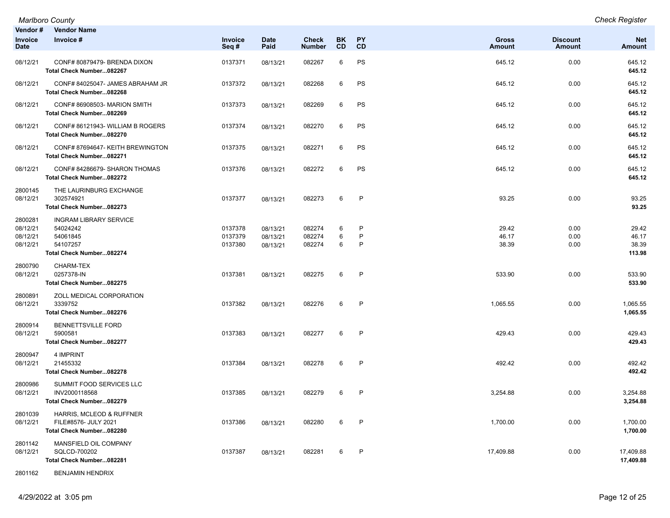*Marlboro County Check Register*

| Vendor #<br><b>Invoice</b><br><b>Date</b>   | <b>Vendor Name</b><br>Invoice #                                                               | Invoice<br>Seq#               | <b>Date</b><br>Paid              | <b>Check</b><br><b>Number</b> | <b>BK</b><br>CD | <b>PY</b><br>CD        | <b>Gross</b><br><b>Amount</b> | <b>Discount</b><br>Amount | <b>Net</b><br><b>Amount</b>       |
|---------------------------------------------|-----------------------------------------------------------------------------------------------|-------------------------------|----------------------------------|-------------------------------|-----------------|------------------------|-------------------------------|---------------------------|-----------------------------------|
| 08/12/21                                    | CONF# 80879479- BRENDA DIXON<br>Total Check Number082267                                      | 0137371                       | 08/13/21                         | 082267                        | 6               | PS                     | 645.12                        | 0.00                      | 645.12<br>645.12                  |
| 08/12/21                                    | CONF# 84025047- JAMES ABRAHAM JR<br>Total Check Number082268                                  | 0137372                       | 08/13/21                         | 082268                        | 6               | PS                     | 645.12                        | 0.00                      | 645.12<br>645.12                  |
| 08/12/21                                    | CONF# 86908503- MARION SMITH<br>Total Check Number082269                                      | 0137373                       | 08/13/21                         | 082269                        | 6               | PS                     | 645.12                        | 0.00                      | 645.12<br>645.12                  |
| 08/12/21                                    | CONF#86121943-WILLIAM B ROGERS<br>Total Check Number082270                                    | 0137374                       | 08/13/21                         | 082270                        | 6               | PS                     | 645.12                        | 0.00                      | 645.12<br>645.12                  |
| 08/12/21                                    | CONF# 87694647- KEITH BREWINGTON<br>Total Check Number082271                                  | 0137375                       | 08/13/21                         | 082271                        | 6               | PS                     | 645.12                        | 0.00                      | 645.12<br>645.12                  |
| 08/12/21                                    | CONF# 84286679- SHARON THOMAS<br>Total Check Number082272                                     | 0137376                       | 08/13/21                         | 082272                        | 6               | PS                     | 645.12                        | 0.00                      | 645.12<br>645.12                  |
| 2800145<br>08/12/21                         | THE LAURINBURG EXCHANGE<br>302574921<br>Total Check Number082273                              | 0137377                       | 08/13/21                         | 082273                        | 6               | $\mathsf{P}$           | 93.25                         | 0.00                      | 93.25<br>93.25                    |
| 2800281<br>08/12/21<br>08/12/21<br>08/12/21 | <b>INGRAM LIBRARY SERVICE</b><br>54024242<br>54061845<br>54107257<br>Total Check Number082274 | 0137378<br>0137379<br>0137380 | 08/13/21<br>08/13/21<br>08/13/21 | 082274<br>082274<br>082274    | 6<br>6<br>6     | P<br>P<br>$\mathsf{P}$ | 29.42<br>46.17<br>38.39       | 0.00<br>0.00<br>0.00      | 29.42<br>46.17<br>38.39<br>113.98 |
| 2800790<br>08/12/21                         | <b>CHARM-TEX</b><br>0257378-IN<br>Total Check Number082275                                    | 0137381                       | 08/13/21                         | 082275                        | 6               | $\mathsf{P}$           | 533.90                        | 0.00                      | 533.90<br>533.90                  |
| 2800891<br>08/12/21                         | ZOLL MEDICAL CORPORATION<br>3339752<br>Total Check Number082276                               | 0137382                       | 08/13/21                         | 082276                        | 6               | $\mathsf{P}$           | 1,065.55                      | 0.00                      | 1,065.55<br>1,065.55              |
| 2800914<br>08/12/21                         | <b>BENNETTSVILLE FORD</b><br>5900581<br>Total Check Number082277                              | 0137383                       | 08/13/21                         | 082277                        | 6               | $\mathsf{P}$           | 429.43                        | 0.00                      | 429.43<br>429.43                  |
| 2800947<br>08/12/21                         | 4 IMPRINT<br>21455332<br>Total Check Number082278                                             | 0137384                       | 08/13/21                         | 082278                        | 6               | $\mathsf{P}$           | 492.42                        | 0.00                      | 492.42<br>492.42                  |
| 2800986<br>08/12/21                         | SUMMIT FOOD SERVICES LLC<br>INV2000118568<br>Total Check Number082279                         | 0137385                       | 08/13/21                         | 082279                        | 6               | $\mathsf{P}$           | 3,254.88                      | 0.00                      | 3,254.88<br>3,254.88              |
| 2801039<br>08/12/21                         | HARRIS, MCLEOD & RUFFNER<br>FILE#8576- JULY 2021<br>Total Check Number082280                  | 0137386                       | 08/13/21                         | 082280                        | 6               | $\mathsf{P}$           | 1,700.00                      | 0.00                      | 1,700.00<br>1,700.00              |
| 2801142<br>08/12/21                         | MANSFIELD OIL COMPANY<br>SQLCD-700202<br>Total Check Number082281                             | 0137387                       | 08/13/21                         | 082281                        | 6               | P                      | 17,409.88                     | 0.00                      | 17,409.88<br>17,409.88            |

2801162 BENJAMIN HENDRIX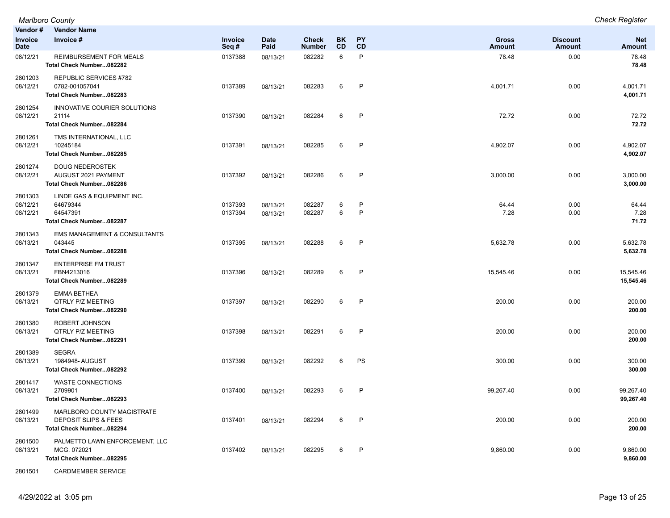|                                 | Marlboro County                                                                           |                    |                      |                        |                  |                        |                        |                                  | <b>Check Register</b>       |
|---------------------------------|-------------------------------------------------------------------------------------------|--------------------|----------------------|------------------------|------------------|------------------------|------------------------|----------------------------------|-----------------------------|
| Vendor #                        | <b>Vendor Name</b>                                                                        |                    |                      |                        |                  |                        |                        |                                  |                             |
| Invoice<br>Date                 | Invoice #                                                                                 | Invoice<br>Seq#    | <b>Date</b><br>Paid  | Check<br><b>Number</b> | BK.<br><b>CD</b> | <b>PY</b><br><b>CD</b> | <b>Gross</b><br>Amount | <b>Discount</b><br><b>Amount</b> | <b>Net</b><br><b>Amount</b> |
| 08/12/21                        | REIMBURSEMENT FOR MEALS<br>Total Check Number082282                                       | 0137388            | 08/13/21             | 082282                 | 6                | P                      | 78.48                  | 0.00                             | 78.48<br>78.48              |
| 2801203<br>08/12/21             | <b>REPUBLIC SERVICES #782</b><br>0782-001057041<br>Total Check Number082283               | 0137389            | 08/13/21             | 082283                 | 6                | P                      | 4,001.71               | 0.00                             | 4,001.71<br>4,001.71        |
| 2801254<br>08/12/21             | INNOVATIVE COURIER SOLUTIONS<br>21114<br>Total Check Number082284                         | 0137390            | 08/13/21             | 082284                 | 6                | P                      | 72.72                  | 0.00                             | 72.72<br>72.72              |
| 2801261<br>08/12/21             | TMS INTERNATIONAL, LLC<br>10245184<br>Total Check Number082285                            | 0137391            | 08/13/21             | 082285                 | 6                | P                      | 4,902.07               | 0.00                             | 4,902.07<br>4,902.07        |
| 2801274<br>08/12/21             | <b>DOUG NEDEROSTEK</b><br>AUGUST 2021 PAYMENT<br>Total Check Number082286                 | 0137392            | 08/13/21             | 082286                 | 6                | P                      | 3,000.00               | 0.00                             | 3,000.00<br>3,000.00        |
| 2801303<br>08/12/21<br>08/12/21 | LINDE GAS & EQUIPMENT INC.<br>64679344<br>64547391<br>Total Check Number082287            | 0137393<br>0137394 | 08/13/21<br>08/13/21 | 082287<br>082287       | 6<br>6           | P<br>P                 | 64.44<br>7.28          | 0.00<br>0.00                     | 64.44<br>7.28<br>71.72      |
| 2801343<br>08/13/21             | <b>EMS MANAGEMENT &amp; CONSULTANTS</b><br>043445<br>Total Check Number082288             | 0137395            | 08/13/21             | 082288                 | 6                | $\mathsf{P}$           | 5,632.78               | 0.00                             | 5,632.78<br>5,632.78        |
| 2801347<br>08/13/21             | <b>ENTERPRISE FM TRUST</b><br>FBN4213016<br>Total Check Number082289                      | 0137396            | 08/13/21             | 082289                 | 6                | P                      | 15,545.46              | 0.00                             | 15,545.46<br>15,545.46      |
| 2801379<br>08/13/21             | <b>EMMA BETHEA</b><br><b>QTRLY P/Z MEETING</b><br>Total Check Number082290                | 0137397            | 08/13/21             | 082290                 | 6                | P                      | 200.00                 | 0.00                             | 200.00<br>200.00            |
| 2801380<br>08/13/21             | ROBERT JOHNSON<br><b>QTRLY P/Z MEETING</b><br>Total Check Number082291                    | 0137398            | 08/13/21             | 082291                 | 6                | P                      | 200.00                 | 0.00                             | 200.00<br>200.00            |
| 2801389<br>08/13/21             | <b>SEGRA</b><br>1984948- AUGUST<br>Total Check Number082292                               | 0137399            | 08/13/21             | 082292                 | 6                | PS                     | 300.00                 | 0.00                             | 300.00<br>300.00            |
| 2801417<br>08/13/21             | <b>WASTE CONNECTIONS</b><br>2709901<br>Total Check Number082293                           | 0137400            | 08/13/21             | 082293                 | 6                | P                      | 99,267.40              | 0.00                             | 99,267.40<br>99,267.40      |
| 2801499<br>08/13/21             | MARLBORO COUNTY MAGISTRATE<br><b>DEPOSIT SLIPS &amp; FEES</b><br>Total Check Number082294 | 0137401            | 08/13/21             | 082294                 | 6                | P                      | 200.00                 | 0.00                             | 200.00<br>200.00            |
| 2801500<br>08/13/21             | PALMETTO LAWN ENFORCEMENT, LLC<br>MCG. 072021<br>Total Check Number082295                 | 0137402            | 08/13/21             | 082295                 | 6                | P                      | 9,860.00               | 0.00                             | 9,860.00<br>9,860.00        |

2801501 CARDMEMBER SERVICE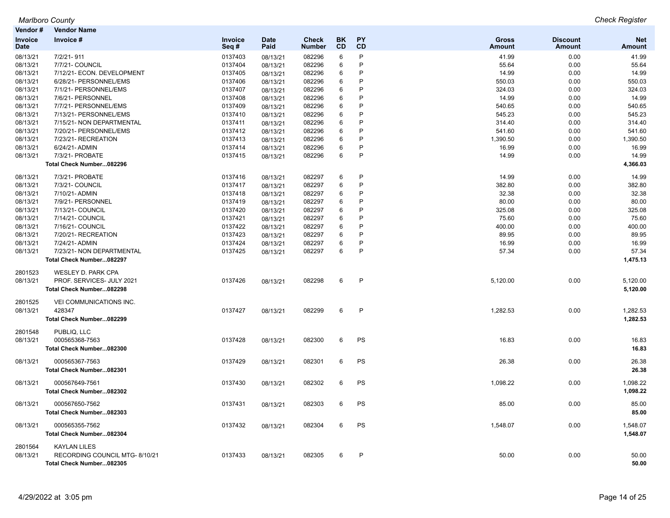| Vendor#                | <b>Vendor Name</b>             |                 |                     |                               |                        |                 |                               |                           |                             |
|------------------------|--------------------------------|-----------------|---------------------|-------------------------------|------------------------|-----------------|-------------------------------|---------------------------|-----------------------------|
| Invoice<br><b>Date</b> | Invoice #                      | Invoice<br>Seq# | <b>Date</b><br>Paid | <b>Check</b><br><b>Number</b> | <b>BK</b><br><b>CD</b> | <b>PY</b><br>CD | <b>Gross</b><br><b>Amount</b> | <b>Discount</b><br>Amount | <b>Net</b><br><b>Amount</b> |
| 08/13/21               | 7/2/21-911                     | 0137403         | 08/13/21            | 082296                        | 6                      | P               | 41.99                         | 0.00                      | 41.99                       |
| 08/13/21               | 7/7/21- COUNCIL                | 0137404         | 08/13/21            | 082296                        | 6                      | P               | 55.64                         | 0.00                      | 55.64                       |
| 08/13/21               | 7/12/21- ECON. DEVELOPMENT     | 0137405         | 08/13/21            | 082296                        | 6                      | P               | 14.99                         | 0.00                      | 14.99                       |
| 08/13/21               | 6/28/21- PERSONNEL/EMS         | 0137406         | 08/13/21            | 082296                        | 6                      | P               | 550.03                        | 0.00                      | 550.03                      |
| 08/13/21               | 7/1/21- PERSONNEL/EMS          | 0137407         | 08/13/21            | 082296                        | 6                      | P               | 324.03                        | 0.00                      | 324.03                      |
| 08/13/21               | 7/6/21- PERSONNEL              | 0137408         | 08/13/21            | 082296                        | 6                      | P               | 14.99                         | 0.00                      | 14.99                       |
| 08/13/21               | 7/7/21- PERSONNEL/EMS          | 0137409         | 08/13/21            | 082296                        | 6                      | P               | 540.65                        | 0.00                      | 540.65                      |
| 08/13/21               | 7/13/21- PERSONNEL/EMS         | 0137410         | 08/13/21            | 082296                        | 6                      | P               | 545.23                        | 0.00                      | 545.23                      |
| 08/13/21               | 7/15/21- NON DEPARTMENTAL      | 0137411         | 08/13/21            | 082296                        | 6                      | P               | 314.40                        | 0.00                      | 314.40                      |
| 08/13/21               | 7/20/21- PERSONNEL/EMS         | 0137412         | 08/13/21            | 082296                        | 6                      | P               | 541.60                        | 0.00                      | 541.60                      |
| 08/13/21               | 7/23/21- RECREATION            | 0137413         | 08/13/21            | 082296                        | $\,6$                  | P               | 1,390.50                      | 0.00                      | 1,390.50                    |
| 08/13/21               | 6/24/21- ADMIN                 | 0137414         | 08/13/21            | 082296                        | 6                      | P               | 16.99                         | 0.00                      | 16.99                       |
| 08/13/21               | 7/3/21- PROBATE                | 0137415         | 08/13/21            | 082296                        | 6                      | P               | 14.99                         | 0.00                      | 14.99                       |
|                        | Total Check Number082296       |                 |                     |                               |                        |                 |                               |                           | 4,366.03                    |
| 08/13/21               | 7/3/21- PROBATE                | 0137416         | 08/13/21            | 082297                        | $\,6$                  | P               | 14.99                         | 0.00                      | 14.99                       |
| 08/13/21               | 7/3/21- COUNCIL                | 0137417         | 08/13/21            | 082297                        | 6                      | P               | 382.80                        | 0.00                      | 382.80                      |
| 08/13/21               | 7/10/21- ADMIN                 | 0137418         | 08/13/21            | 082297                        | 6                      | P               | 32.38                         | 0.00                      | 32.38                       |
| 08/13/21               | 7/9/21- PERSONNEL              | 0137419         | 08/13/21            | 082297                        | 6                      | P               | 80.00                         | 0.00                      | 80.00                       |
| 08/13/21               | 7/13/21- COUNCIL               | 0137420         | 08/13/21            | 082297                        | 6                      | P               | 325.08                        | 0.00                      | 325.08                      |
| 08/13/21               | 7/14/21- COUNCIL               | 0137421         | 08/13/21            | 082297                        | 6                      | P               | 75.60                         | 0.00                      | 75.60                       |
| 08/13/21               | 7/16/21- COUNCIL               | 0137422         | 08/13/21            | 082297                        | $6\phantom{1}$         | P               | 400.00                        | 0.00                      | 400.00                      |
| 08/13/21               | 7/20/21-RECREATION             | 0137423         | 08/13/21            | 082297                        | 6                      | P               | 89.95                         | 0.00                      | 89.95                       |
| 08/13/21               | 7/24/21- ADMIN                 | 0137424         | 08/13/21            | 082297                        | 6                      | P               | 16.99                         | 0.00                      | 16.99                       |
| 08/13/21               | 7/23/21- NON DEPARTMENTAL      | 0137425         | 08/13/21            | 082297                        | 6                      | P               | 57.34                         | 0.00                      | 57.34                       |
|                        | Total Check Number082297       |                 |                     |                               |                        |                 |                               |                           | 1,475.13                    |
|                        |                                |                 |                     |                               |                        |                 |                               |                           |                             |
| 2801523                | WESLEY D. PARK CPA             |                 |                     |                               |                        |                 |                               |                           |                             |
| 08/13/21               | PROF. SERVICES- JULY 2021      | 0137426         | 08/13/21            | 082298                        | 6                      | P               | 5,120.00                      | 0.00                      | 5,120.00                    |
|                        | Total Check Number082298       |                 |                     |                               |                        |                 |                               |                           | 5,120.00                    |
| 2801525                | VEI COMMUNICATIONS INC.        |                 |                     |                               |                        |                 |                               |                           |                             |
| 08/13/21               | 428347                         | 0137427         | 08/13/21            | 082299                        | 6                      | $\mathsf{P}$    | 1,282.53                      | 0.00                      | 1,282.53                    |
|                        | Total Check Number082299       |                 |                     |                               |                        |                 |                               |                           | 1,282.53                    |
| 2801548                | PUBLIQ, LLC                    |                 |                     |                               |                        |                 |                               |                           |                             |
| 08/13/21               | 000565368-7563                 | 0137428         | 08/13/21            | 082300                        | 6                      | PS              | 16.83                         | 0.00                      | 16.83                       |
|                        | Total Check Number082300       |                 |                     |                               |                        |                 |                               |                           | 16.83                       |
| 08/13/21               | 000565367-7563                 | 0137429         |                     | 082301                        | 6                      | PS              | 26.38                         | 0.00                      | 26.38                       |
|                        | Total Check Number082301       |                 | 08/13/21            |                               |                        |                 |                               |                           | 26.38                       |
|                        |                                |                 |                     |                               |                        |                 |                               |                           |                             |
| 08/13/21               | 000567649-7561                 | 0137430         | 08/13/21            | 082302                        | 6                      | PS              | 1,098.22                      | 0.00                      | 1,098.22                    |
|                        | Total Check Number082302       |                 |                     |                               |                        |                 |                               |                           | 1,098.22                    |
| 08/13/21               | 000567650-7562                 | 0137431         | 08/13/21            | 082303                        | 6                      | PS              | 85.00                         | 0.00                      | 85.00                       |
|                        | Total Check Number082303       |                 |                     |                               |                        |                 |                               |                           | 85.00                       |
| 08/13/21               | 000565355-7562                 | 0137432         | 08/13/21            | 082304                        | 6                      | PS              | 1,548.07                      | 0.00                      | 1,548.07                    |
|                        | Total Check Number082304       |                 |                     |                               |                        |                 |                               |                           | 1,548.07                    |
| 2801564                | <b>KAYLAN LILES</b>            |                 |                     |                               |                        |                 |                               |                           |                             |
| 08/13/21               | RECORDING COUNCIL MTG- 8/10/21 | 0137433         | 08/13/21            | 082305                        | 6                      | P               | 50.00                         | 0.00                      | 50.00                       |
|                        | Total Check Number082305       |                 |                     |                               |                        |                 |                               |                           | 50.00                       |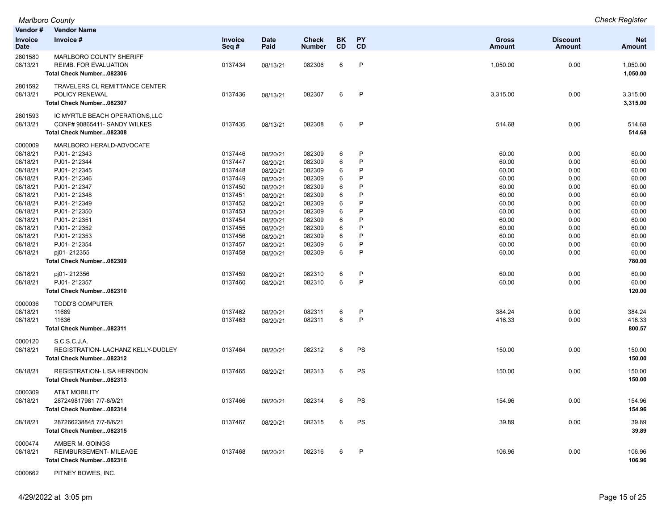| Vendor #                      | <b>Vendor Name</b>                                                                          |                        |                     |                               |                        |                 |                        |                                  |                             |
|-------------------------------|---------------------------------------------------------------------------------------------|------------------------|---------------------|-------------------------------|------------------------|-----------------|------------------------|----------------------------------|-----------------------------|
| <b>Invoice</b><br><b>Date</b> | Invoice #                                                                                   | <b>Invoice</b><br>Seq# | <b>Date</b><br>Paid | <b>Check</b><br><b>Number</b> | <b>BK</b><br><b>CD</b> | <b>PY</b><br>CD | <b>Gross</b><br>Amount | <b>Discount</b><br><b>Amount</b> | <b>Net</b><br><b>Amount</b> |
| 2801580<br>08/13/21           | <b>MARLBORO COUNTY SHERIFF</b><br>REIMB. FOR EVALUATION<br>Total Check Number082306         | 0137434                | 08/13/21            | 082306                        | 6                      | $\mathsf{P}$    | 1,050.00               | 0.00                             | 1,050.00<br>1,050.00        |
| 2801592<br>08/13/21           | <b>TRAVELERS CL REMITTANCE CENTER</b><br>POLICY RENEWAL<br>Total Check Number082307         | 0137436                | 08/13/21            | 082307                        | 6                      | $\mathsf{P}$    | 3,315.00               | 0.00                             | 3,315.00<br>3,315.00        |
| 2801593<br>08/13/21           | IC MYRTLE BEACH OPERATIONS, LLC<br>CONF# 90865411- SANDY WILKES<br>Total Check Number082308 | 0137435                | 08/13/21            | 082308                        | 6                      | $\mathsf{P}$    | 514.68                 | 0.00                             | 514.68<br>514.68            |
| 0000009                       | MARLBORO HERALD-ADVOCATE                                                                    |                        |                     |                               |                        |                 |                        |                                  |                             |
| 08/18/21                      | PJ01-212343                                                                                 | 0137446                | 08/20/21            | 082309                        | 6                      | P               | 60.00                  | 0.00                             | 60.00                       |
| 08/18/21                      | PJ01-212344                                                                                 | 0137447                | 08/20/21            | 082309                        | 6                      | P               | 60.00                  | 0.00                             | 60.00                       |
| 08/18/21                      | PJ01-212345                                                                                 | 0137448                | 08/20/21            | 082309                        | 6                      | P               | 60.00                  | 0.00                             | 60.00                       |
| 08/18/21                      | PJ01-212346                                                                                 | 0137449                | 08/20/21            | 082309                        | 6                      | P               | 60.00                  | 0.00                             | 60.00                       |
| 08/18/21                      | PJ01-212347                                                                                 | 0137450                | 08/20/21            | 082309                        | 6                      | P               | 60.00                  | 0.00                             | 60.00                       |
| 08/18/21                      | PJ01-212348                                                                                 | 0137451                | 08/20/21            | 082309                        | 6                      | P               | 60.00                  | 0.00                             | 60.00                       |
| 08/18/21                      | PJ01-212349                                                                                 | 0137452                | 08/20/21            | 082309                        | 6                      | P               | 60.00                  | 0.00                             | 60.00                       |
| 08/18/21                      | PJ01-212350                                                                                 | 0137453                | 08/20/21            | 082309                        | 6                      | P               | 60.00                  | 0.00                             | 60.00                       |
| 08/18/21                      | PJ01-212351                                                                                 | 0137454                | 08/20/21            | 082309                        | 6                      | P               | 60.00                  | 0.00                             | 60.00                       |
| 08/18/21                      | PJ01-212352                                                                                 | 0137455                | 08/20/21            | 082309                        | 6                      | P               | 60.00                  | 0.00                             | 60.00                       |
| 08/18/21                      | PJ01-212353                                                                                 | 0137456                | 08/20/21            | 082309                        | 6                      | P               | 60.00                  | 0.00                             | 60.00                       |
| 08/18/21                      | PJ01-212354                                                                                 | 0137457                | 08/20/21            | 082309                        | 6                      | P               | 60.00                  | 0.00                             | 60.00                       |
| 08/18/21                      | pj01-212355                                                                                 | 0137458                | 08/20/21            | 082309                        | 6                      | P               | 60.00                  | 0.00                             | 60.00                       |
|                               | Total Check Number082309                                                                    |                        |                     |                               |                        |                 |                        |                                  | 780.00                      |
| 08/18/21                      | pj01-212356                                                                                 | 0137459                | 08/20/21            | 082310                        | 6                      | P               | 60.00                  | 0.00                             | 60.00                       |
| 08/18/21                      | PJ01-212357                                                                                 | 0137460                | 08/20/21            | 082310                        | 6                      | P               | 60.00                  | 0.00                             | 60.00                       |
|                               | Total Check Number082310                                                                    |                        |                     |                               |                        |                 |                        |                                  | 120.00                      |
| 0000036                       | <b>TODD'S COMPUTER</b>                                                                      |                        |                     |                               |                        |                 |                        |                                  |                             |
| 08/18/21                      | 11689                                                                                       | 0137462                | 08/20/21            | 082311                        | 6                      | $\mathsf{P}$    | 384.24                 | 0.00                             | 384.24                      |
| 08/18/21                      | 11636                                                                                       | 0137463                | 08/20/21            | 082311                        | 6                      | P               | 416.33                 | 0.00                             | 416.33                      |
|                               | Total Check Number082311                                                                    |                        |                     |                               |                        |                 |                        |                                  | 800.57                      |
| 0000120                       | S.C.S.C.J.A.                                                                                |                        |                     |                               |                        |                 |                        |                                  |                             |
| 08/18/21                      | REGISTRATION- LACHANZ KELLY-DUDLEY                                                          | 0137464                | 08/20/21            | 082312                        | 6                      | PS              | 150.00                 | 0.00                             | 150.00                      |
|                               | Total Check Number082312                                                                    |                        |                     |                               |                        |                 |                        |                                  | 150.00                      |
| 08/18/21                      | <b>REGISTRATION- LISA HERNDON</b><br>Total Check Number082313                               | 0137465                | 08/20/21            | 082313                        | 6                      | PS              | 150.00                 | 0.00                             | 150.00<br>150.00            |
| 0000309                       | <b>AT&amp;T MOBILITY</b>                                                                    |                        |                     |                               |                        |                 |                        |                                  |                             |
| 08/18/21                      | 287249817981 7/7-8/9/21<br>Total Check Number082314                                         | 0137466                | 08/20/21            | 082314                        | 6                      | <b>PS</b>       | 154.96                 | 0.00                             | 154.96<br>154.96            |
| 08/18/21                      | 287266238845 7/7-8/6/21<br>Total Check Number082315                                         | 0137467                | 08/20/21            | 082315                        | 6                      | PS              | 39.89                  | 0.00                             | 39.89<br>39.89              |
| 0000474                       | AMBER M. GOINGS                                                                             |                        |                     |                               |                        |                 |                        |                                  |                             |
| 08/18/21                      | REIMBURSEMENT- MILEAGE                                                                      | 0137468                | 08/20/21            | 082316                        | 6                      | P               | 106.96                 | 0.00                             | 106.96                      |
|                               | Total Check Number082316                                                                    |                        |                     |                               |                        |                 |                        |                                  | 106.96                      |
|                               |                                                                                             |                        |                     |                               |                        |                 |                        |                                  |                             |

0000662 PITNEY BOWES, INC.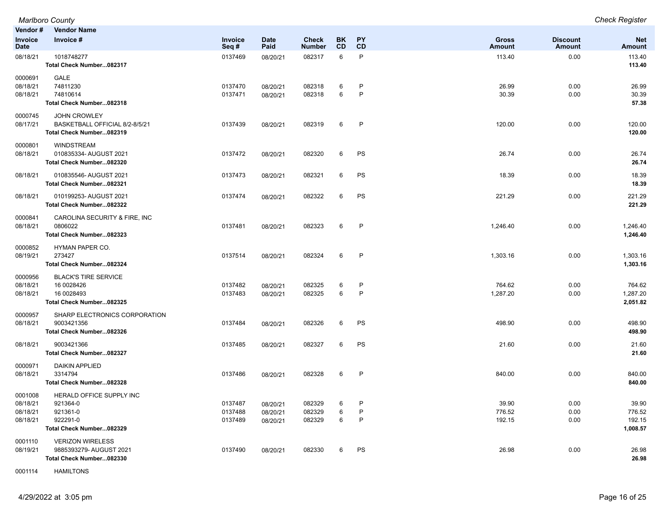**Vendor # Vendor Name Invoice Date Invoice # Invoice Seq # Date Paid Check Number BK CD PY CD Gross Amount Discount Amount Net Amount** 08/18/21 1018748277 0137469 08/20/21 082317 6 P 113.40 0.00 113.40 **Total Check Number...082317 113.40** 0000691 GALE 08/18/21 74811230 0137470 08/20/21 082318 6 P 26.99 26.99 08/18/21 74810614 0137471 08/20/21 082318 6 P 30.39 0.00 30.39 **Total Check Number...082318 57.38** 0000745 JOHN CROWLEY 08/17/21 BASKETBALL OFFICIAL 8/2-8/5/21 0137439 08/20/21 082319 6 P 120.00 0.00 120.00 **Total Check Number...082319 120.00** 0000801 WINDSTREAM 08/18/21 010835334- AUGUST 2021 0137472 08/20/21 082320 6 PS 26.74 26.74 **Total Check Number...082320 26.74** 08/18/21 010835546- AUGUST 2021 0137473 08/20/21 082321 6 PS 18.39 0.00 18.39 **Total Check Number...082321 18.39** 08/18/21 010199253- AUGUST 2021 0137474 08/20/21 082322 6 PS 221.29 0.00 221.29 **Total Check Number...082322 221.29** 0000841 CAROLINA SECURITY & FIRE, INC 08/18/21 0806022 0137481 08/20/21 082323 6 P 1,246.40 0.00 1,246.40 **Total Check Number...082323 1,246.40** 0000852 HYMAN PAPER CO. 08/19/21 273427 0137514 08/20/21 082324 6 P 1,303.16 0.00 1,303.16 **Total Check Number...082324 1,303.16** 0000956 BLACK'S TIRE SERVICE 08/18/21 16 0028426 0137482 08/20/21 082325 6 P 764.62 0.00 764.62 08/18/21 16 0028493 0137483 08/20/21 082325 6 P 1,287.20 0.00 1,287.20 **Total Check Number...082325 2,051.82** 0000957 SHARP ELECTRONICS CORPORATION 08/18/21 9003421356 0137484 08/20/21 082326 6 PS 498.90 498.90 **Total Check Number...082326 498.90** 08/18/21 9003421366 0137485 08/20/21 082327 6 PS 21.60 21.60 **Total Check Number...082327 21.60** 0000971 DAIKIN APPLIED 08/18/21 3314794 0137486 08/20/21 082328 6 P 840.00 840.00 **Total Check Number...082328 840.00** 0001008 HERALD OFFICE SUPPLY INC 08/18/21 921364-0 0137487 08/20/21 082329 6 P 39.90 39.90 08/18/21 921361-0 0137488 08/20/21 082329 6 P 776.52 776.52 08/18/21 922291-0 0137489 08/20/21 082329 6 P 192.15 0.00 192.15 **Total Check Number...082329 1,008.57** 0001110 VERIZON WIRELESS 08/19/21 9885393279- AUGUST 2021 0137490 08/20/21 082330 6 PS 26.98 0.00 26.98 **Total Check Number...082330 26.98**

*Marlboro County Check Register*

0001114 HAMILTONS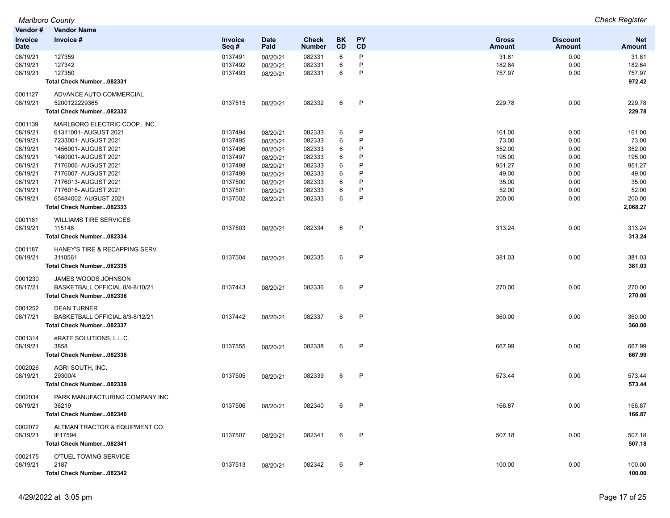| Vendor#                       | <b>Vendor Name</b>                                |                        |                     |                        |                 |                        |                 |                           |                      |
|-------------------------------|---------------------------------------------------|------------------------|---------------------|------------------------|-----------------|------------------------|-----------------|---------------------------|----------------------|
| <b>Invoice</b><br><b>Date</b> | Invoice #                                         | <b>Invoice</b><br>Seq# | <b>Date</b><br>Paid | Check<br><b>Number</b> | BK<br><b>CD</b> | <b>PY</b><br><b>CD</b> | Gross<br>Amount | <b>Discount</b><br>Amount | <b>Net</b><br>Amount |
| 08/19/21                      | 127359                                            | 0137491                | 08/20/21            | 082331                 | 6               | P                      | 31.81           | 0.00                      | 31.81                |
| 08/19/21                      | 127342                                            | 0137492                | 08/20/21            | 082331                 | 6               | P                      | 182.64          | 0.00                      | 182.64               |
| 08/19/21                      | 127350                                            | 0137493                | 08/20/21            | 082331                 | 6               | P                      | 757.97          | 0.00                      | 757.97               |
|                               | Total Check Number082331                          |                        |                     |                        |                 |                        |                 |                           | 972.42               |
| 0001127                       | ADVANCE AUTO COMMERCIAL                           |                        |                     |                        |                 |                        |                 |                           |                      |
| 08/19/21                      | 5200122229365                                     | 0137515                | 08/20/21            | 082332                 | 6               | $\mathsf{P}$           | 229.78          | 0.00                      | 229.78               |
|                               | Total Check Number082332                          |                        |                     |                        |                 |                        |                 |                           | 229.78               |
| 0001139                       | MARLBORO ELECTRIC COOP., INC.                     |                        |                     |                        |                 |                        |                 |                           |                      |
| 08/19/21                      | 61311001- AUGUST 2021                             | 0137494                | 08/20/21            | 082333                 | 6               | P                      | 161.00          | 0.00                      | 161.00               |
| 08/19/21                      | 7233001- AUGUST 2021                              | 0137495                | 08/20/21            | 082333                 | 6               | P                      | 73.00           | 0.00                      | 73.00                |
| 08/19/21                      | 1456001- AUGUST 2021                              | 0137496                | 08/20/21            | 082333                 | 6               | P<br>P                 | 352.00          | 0.00                      | 352.00               |
| 08/19/21                      | 1480001- AUGUST 2021                              | 0137497                | 08/20/21            | 082333                 | 6               | P                      | 195.00          | 0.00                      | 195.00               |
| 08/19/21                      | 7176006- AUGUST 2021                              | 0137498                | 08/20/21            | 082333                 | 6               | P                      | 951.27          | 0.00                      | 951.27               |
| 08/19/21                      | 7176007- AUGUST 2021                              | 0137499                | 08/20/21            | 082333                 | 6               | P                      | 49.00           | 0.00                      | 49.00                |
| 08/19/21                      | 7176013- AUGUST 2021                              | 0137500                | 08/20/21            | 082333                 | 6               | P                      | 35.00           | 0.00                      | 35.00                |
| 08/19/21                      | 7176016- AUGUST 2021                              | 0137501                | 08/20/21            | 082333                 | 6<br>6          | P                      | 52.00           | 0.00                      | 52.00                |
| 08/19/21                      | 65484002- AUGUST 2021<br>Total Check Number082333 | 0137502                | 08/20/21            | 082333                 |                 |                        | 200.00          | 0.00                      | 200.00<br>2,068.27   |
|                               |                                                   |                        |                     |                        |                 |                        |                 |                           |                      |
| 0001181                       | <b>WILLIAMS TIRE SERVICES</b>                     |                        |                     |                        |                 |                        |                 |                           |                      |
| 08/19/21                      | 115148                                            | 0137503                | 08/20/21            | 082334                 | 6               | $\mathsf{P}$           | 313.24          | 0.00                      | 313.24               |
|                               | Total Check Number082334                          |                        |                     |                        |                 |                        |                 |                           | 313.24               |
| 0001187                       | HANEY'S TIRE & RECAPPING SERV.                    |                        |                     |                        |                 |                        |                 |                           |                      |
| 08/19/21                      | 3110561                                           | 0137504                | 08/20/21            | 082335                 | 6               | P                      | 381.03          | 0.00                      | 381.03               |
|                               | Total Check Number082335                          |                        |                     |                        |                 |                        |                 |                           | 381.03               |
| 0001230                       | JAMES WOODS JOHNSON                               |                        |                     |                        |                 |                        |                 |                           |                      |
| 08/17/21                      | BASKETBALL OFFICIAL 8/4-8/10/21                   | 0137443                | 08/20/21            | 082336                 | 6               | P                      | 270.00          | 0.00                      | 270.00               |
|                               | Total Check Number082336                          |                        |                     |                        |                 |                        |                 |                           | 270.00               |
| 0001252                       | <b>DEAN TURNER</b>                                |                        |                     |                        |                 |                        |                 |                           |                      |
| 08/17/21                      | BASKETBALL OFFICIAL 8/3-8/12/21                   | 0137442                | 08/20/21            | 082337                 | 6               | P                      | 360.00          | 0.00                      | 360.00               |
|                               | Total Check Number082337                          |                        |                     |                        |                 |                        |                 |                           | 360.00               |
| 0001314                       | eRATE SOLUTIONS, L.L.C.                           |                        |                     |                        |                 |                        |                 |                           |                      |
| 08/19/21                      | 3858                                              | 0137555                | 08/20/21            | 082338                 | 6               | $\mathsf{P}$           | 667.99          | 0.00                      | 667.99               |
|                               | Total Check Number082338                          |                        |                     |                        |                 |                        |                 |                           | 667.99               |
| 0002026                       | AGRI SOUTH, INC.                                  |                        |                     |                        |                 |                        |                 |                           |                      |
| 08/19/21                      | 29300/4                                           | 0137505                | 08/20/21            | 082339                 | 6               | $\mathsf{P}$           | 573.44          | 0.00                      | 573.44               |
|                               | Total Check Number082339                          |                        |                     |                        |                 |                        |                 |                           | 573.44               |
| 0002034                       | PARK MANUFACTURING COMPANY INC                    |                        |                     |                        |                 |                        |                 |                           |                      |
| 08/19/21                      | 36219                                             | 0137506                | 08/20/21            | 082340                 | 6               | P                      | 166.87          | 0.00                      | 166.87               |
|                               | Total Check Number082340                          |                        |                     |                        |                 |                        |                 |                           | 166.87               |
| 0002072                       | ALTMAN TRACTOR & EQUIPMENT CO.                    |                        |                     |                        |                 |                        |                 |                           |                      |
| 08/19/21                      | IF17594                                           | 0137507                | 08/20/21            | 082341                 | 6               | P                      | 507.18          | 0.00                      | 507.18               |
|                               | Total Check Number082341                          |                        |                     |                        |                 |                        |                 |                           | 507.18               |
| 0002175                       | O'TUEL TOWING SERVICE                             |                        |                     |                        |                 |                        |                 |                           |                      |
| 08/19/21                      | 2187                                              | 0137513                | 08/20/21            | 082342                 | 6               | P                      | 100.00          | 0.00                      | 100.00               |
|                               | Total Check Number082342                          |                        |                     |                        |                 |                        |                 |                           | 100.00               |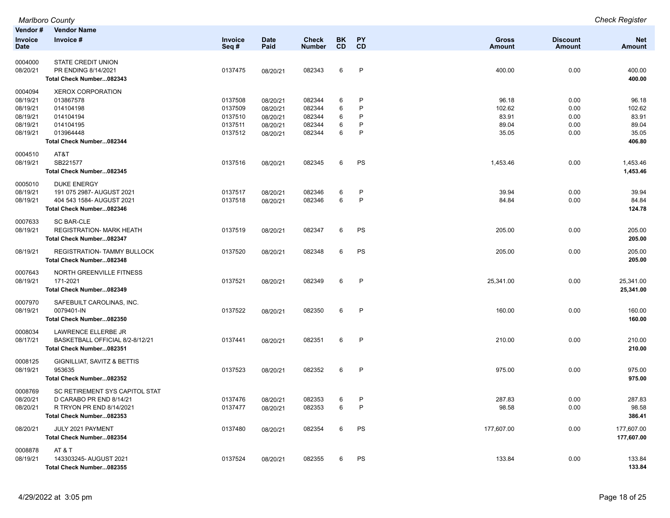|                        | <b>Marlboro County</b>                               |                        |                      |                               |                 |                              |                        |                           | <b>Check Register</b>       |
|------------------------|------------------------------------------------------|------------------------|----------------------|-------------------------------|-----------------|------------------------------|------------------------|---------------------------|-----------------------------|
| Vendor#                | <b>Vendor Name</b>                                   |                        |                      |                               |                 |                              |                        |                           |                             |
| <b>Invoice</b><br>Date | Invoice #                                            | <b>Invoice</b><br>Seq# | <b>Date</b><br>Paid  | <b>Check</b><br><b>Number</b> | BK<br><b>CD</b> | PY<br><b>CD</b>              | <b>Gross</b><br>Amount | <b>Discount</b><br>Amount | <b>Net</b><br><b>Amount</b> |
|                        | <b>STATE CREDIT UNION</b>                            |                        |                      |                               |                 |                              |                        |                           |                             |
| 0004000                | PR ENDING 8/14/2021                                  |                        |                      |                               | 6               | $\mathsf{P}$                 |                        |                           |                             |
| 08/20/21               | Total Check Number082343                             | 0137475                | 08/20/21             | 082343                        |                 |                              | 400.00                 | 0.00                      | 400.00<br>400.00            |
|                        |                                                      |                        |                      |                               |                 |                              |                        |                           |                             |
| 0004094                | <b>XEROX CORPORATION</b>                             |                        |                      |                               |                 |                              |                        |                           |                             |
| 08/19/21               | 013867578                                            | 0137508                | 08/20/21             | 082344                        | 6               | $\mathsf{P}$<br>$\mathsf{P}$ | 96.18                  | 0.00                      | 96.18                       |
| 08/19/21<br>08/19/21   | 014104198<br>014104194                               | 0137509<br>0137510     | 08/20/21             | 082344<br>082344              | 6<br>6          | P                            | 102.62<br>83.91        | 0.00<br>0.00              | 102.62<br>83.91             |
| 08/19/21               | 014104195                                            | 0137511                | 08/20/21<br>08/20/21 | 082344                        | 6               | P                            | 89.04                  | 0.00                      | 89.04                       |
| 08/19/21               | 013964448                                            | 0137512                | 08/20/21             | 082344                        | 6               | $\mathsf{P}$                 | 35.05                  | 0.00                      | 35.05                       |
|                        | Total Check Number082344                             |                        |                      |                               |                 |                              |                        |                           | 406.80                      |
|                        |                                                      |                        |                      |                               |                 |                              |                        |                           |                             |
| 0004510                | AT&T                                                 |                        |                      |                               |                 |                              |                        |                           |                             |
| 08/19/21               | SB221577                                             | 0137516                | 08/20/21             | 082345                        | 6               | PS                           | 1,453.46               | 0.00                      | 1,453.46                    |
|                        | Total Check Number082345                             |                        |                      |                               |                 |                              |                        |                           | 1,453.46                    |
| 0005010                | <b>DUKE ENERGY</b>                                   |                        |                      |                               |                 |                              |                        |                           |                             |
| 08/19/21               | 191 075 2987- AUGUST 2021                            | 0137517                | 08/20/21             | 082346                        | 6               | P                            | 39.94                  | 0.00                      | 39.94                       |
| 08/19/21               | 404 543 1584- AUGUST 2021                            | 0137518                | 08/20/21             | 082346                        | 6               | $\mathsf{P}$                 | 84.84                  | 0.00                      | 84.84                       |
|                        | Total Check Number082346                             |                        |                      |                               |                 |                              |                        |                           | 124.78                      |
| 0007633                | <b>SC BAR-CLE</b>                                    |                        |                      |                               |                 |                              |                        |                           |                             |
| 08/19/21               | <b>REGISTRATION- MARK HEATH</b>                      | 0137519                | 08/20/21             | 082347                        | 6               | PS                           | 205.00                 | 0.00                      | 205.00                      |
|                        | Total Check Number082347                             |                        |                      |                               |                 |                              |                        |                           | 205.00                      |
| 08/19/21               | <b>REGISTRATION- TAMMY BULLOCK</b>                   | 0137520                | 08/20/21             | 082348                        | 6               | PS                           | 205.00                 | 0.00                      | 205.00                      |
|                        | Total Check Number082348                             |                        |                      |                               |                 |                              |                        |                           | 205.00                      |
|                        |                                                      |                        |                      |                               |                 |                              |                        |                           |                             |
| 0007643                | NORTH GREENVILLE FITNESS                             |                        |                      |                               |                 |                              |                        |                           |                             |
| 08/19/21               | 171-2021                                             | 0137521                | 08/20/21             | 082349                        | 6               | P                            | 25,341.00              | 0.00                      | 25,341.00                   |
|                        | Total Check Number082349                             |                        |                      |                               |                 |                              |                        |                           | 25,341.00                   |
| 0007970                | SAFEBUILT CAROLINAS, INC.                            |                        |                      |                               |                 |                              |                        |                           |                             |
| 08/19/21               | 0079401-IN                                           | 0137522                | 08/20/21             | 082350                        | 6               | $\mathsf{P}$                 | 160.00                 | 0.00                      | 160.00                      |
|                        | Total Check Number082350                             |                        |                      |                               |                 |                              |                        |                           | 160.00                      |
| 0008034                | LAWRENCE ELLERBE JR                                  |                        |                      |                               |                 |                              |                        |                           |                             |
| 08/17/21               | BASKETBALL OFFICIAL 8/2-8/12/21                      | 0137441                | 08/20/21             | 082351                        | 6               | P                            | 210.00                 | 0.00                      | 210.00                      |
|                        | Total Check Number082351                             |                        |                      |                               |                 |                              |                        |                           | 210.00                      |
| 0008125                | GIGNILLIAT, SAVITZ & BETTIS                          |                        |                      |                               |                 |                              |                        |                           |                             |
| 08/19/21               | 953635                                               | 0137523                | 08/20/21             | 082352                        | 6               | P                            | 975.00                 | 0.00                      | 975.00                      |
|                        | Total Check Number082352                             |                        |                      |                               |                 |                              |                        |                           | 975.00                      |
|                        |                                                      |                        |                      |                               |                 |                              |                        |                           |                             |
| 0008769                | SC RETIREMENT SYS CAPITOL STAT                       |                        |                      |                               |                 |                              |                        |                           |                             |
| 08/20/21               | D CARABO PR END 8/14/21                              | 0137476                | 08/20/21             | 082353                        | 6               | P                            | 287.83                 | 0.00                      | 287.83                      |
| 08/20/21               | R TRYON PR END 8/14/2021<br>Total Check Number082353 | 0137477                | 08/20/21             | 082353                        | 6               | $\mathsf{P}$                 | 98.58                  | 0.00                      | 98.58<br>386.41             |
|                        |                                                      |                        |                      |                               |                 |                              |                        |                           |                             |
| 08/20/21               | JULY 2021 PAYMENT                                    | 0137480                | 08/20/21             | 082354                        | 6               | PS                           | 177,607.00             | 0.00                      | 177,607.00                  |
|                        | Total Check Number082354                             |                        |                      |                               |                 |                              |                        |                           | 177,607.00                  |
| 0008878                | AT & T                                               |                        |                      |                               |                 |                              |                        |                           |                             |
| 08/19/21               | 143303245-AUGUST 2021                                | 0137524                | 08/20/21             | 082355                        | 6               | PS                           | 133.84                 | 0.00                      | 133.84                      |
|                        | Total Check Number082355                             |                        |                      |                               |                 |                              |                        |                           | 133.84                      |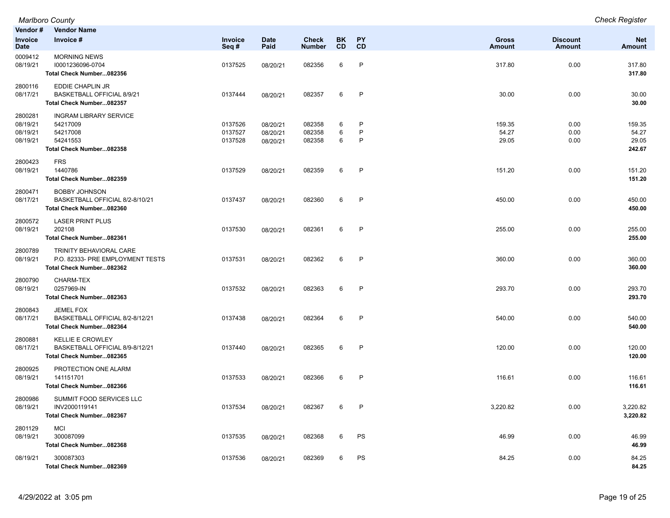| Vendor#                                     | <b>Vendor Name</b>                                                                            |                               |                                  |                               |                   |                        |                               |                                  |                                    |
|---------------------------------------------|-----------------------------------------------------------------------------------------------|-------------------------------|----------------------------------|-------------------------------|-------------------|------------------------|-------------------------------|----------------------------------|------------------------------------|
| Invoice<br><b>Date</b>                      | Invoice #                                                                                     | Invoice<br>Seq#               | <b>Date</b><br>Paid              | <b>Check</b><br><b>Number</b> | <b>BK</b><br>CD   | <b>PY</b><br>CD        | <b>Gross</b><br><b>Amount</b> | <b>Discount</b><br><b>Amount</b> | <b>Net</b><br><b>Amount</b>        |
| 0009412<br>08/19/21                         | <b>MORNING NEWS</b><br>10001236096-0704<br>Total Check Number082356                           | 0137525                       | 08/20/21                         | 082356                        | 6                 | $\mathsf{P}$           | 317.80                        | 0.00                             | 317.80<br>317.80                   |
| 2800116<br>08/17/21                         | EDDIE CHAPLIN JR<br>BASKETBALL OFFICIAL 8/9/21<br>Total Check Number082357                    | 0137444                       | 08/20/21                         | 082357                        | 6                 | P                      | 30.00                         | 0.00                             | 30.00<br>30.00                     |
| 2800281<br>08/19/21<br>08/19/21<br>08/19/21 | <b>INGRAM LIBRARY SERVICE</b><br>54217009<br>54217008<br>54241553<br>Total Check Number082358 | 0137526<br>0137527<br>0137528 | 08/20/21<br>08/20/21<br>08/20/21 | 082358<br>082358<br>082358    | 6<br>$\,6\,$<br>6 | P<br>$\mathsf{P}$<br>P | 159.35<br>54.27<br>29.05      | 0.00<br>0.00<br>0.00             | 159.35<br>54.27<br>29.05<br>242.67 |
| 2800423<br>08/19/21                         | <b>FRS</b><br>1440786<br>Total Check Number082359                                             | 0137529                       | 08/20/21                         | 082359                        | 6                 | $\mathsf{P}$           | 151.20                        | 0.00                             | 151.20<br>151.20                   |
| 2800471<br>08/17/21                         | <b>BOBBY JOHNSON</b><br>BASKETBALL OFFICIAL 8/2-8/10/21<br>Total Check Number082360           | 0137437                       | 08/20/21                         | 082360                        | 6                 | $\mathsf{P}$           | 450.00                        | 0.00                             | 450.00<br>450.00                   |
| 2800572<br>08/19/21                         | <b>LASER PRINT PLUS</b><br>202108<br>Total Check Number082361                                 | 0137530                       | 08/20/21                         | 082361                        | 6                 | P                      | 255.00                        | 0.00                             | 255.00<br>255.00                   |
| 2800789<br>08/19/21                         | TRINITY BEHAVIORAL CARE<br>P.O. 82333- PRE EMPLOYMENT TESTS<br>Total Check Number082362       | 0137531                       | 08/20/21                         | 082362                        | 6                 | $\mathsf{P}$           | 360.00                        | 0.00                             | 360.00<br>360.00                   |
| 2800790<br>08/19/21                         | CHARM-TEX<br>0257969-IN<br>Total Check Number082363                                           | 0137532                       | 08/20/21                         | 082363                        | 6                 | $\mathsf{P}$           | 293.70                        | 0.00                             | 293.70<br>293.70                   |
| 2800843<br>08/17/21                         | JEMEL FOX<br>BASKETBALL OFFICIAL 8/2-8/12/21<br>Total Check Number082364                      | 0137438                       | 08/20/21                         | 082364                        | 6                 | P                      | 540.00                        | 0.00                             | 540.00<br>540.00                   |
| 2800881<br>08/17/21                         | <b>KELLIE E CROWLEY</b><br>BASKETBALL OFFICIAL 8/9-8/12/21<br>Total Check Number082365        | 0137440                       | 08/20/21                         | 082365                        | 6                 | P                      | 120.00                        | 0.00                             | 120.00<br>120.00                   |
| 2800925<br>08/19/21                         | PROTECTION ONE ALARM<br>141151701<br>Total Check Number082366                                 | 0137533                       | 08/20/21                         | 082366                        | 6                 | $\mathsf{P}$           | 116.61                        | 0.00                             | 116.61<br>116.61                   |
| 2800986<br>08/19/21                         | SUMMIT FOOD SERVICES LLC<br>INV2000119141<br>Total Check Number082367                         | 0137534                       | 08/20/21                         | 082367                        | 6                 | P                      | 3,220.82                      | 0.00                             | 3,220.82<br>3,220.82               |
| 2801129<br>08/19/21                         | <b>MCI</b><br>300087099<br>Total Check Number082368                                           | 0137535                       | 08/20/21                         | 082368                        | 6                 | PS                     | 46.99                         | 0.00                             | 46.99<br>46.99                     |
| 08/19/21                                    | 300087303<br>Total Check Number082369                                                         | 0137536                       | 08/20/21                         | 082369                        | 6                 | PS                     | 84.25                         | 0.00                             | 84.25<br>84.25                     |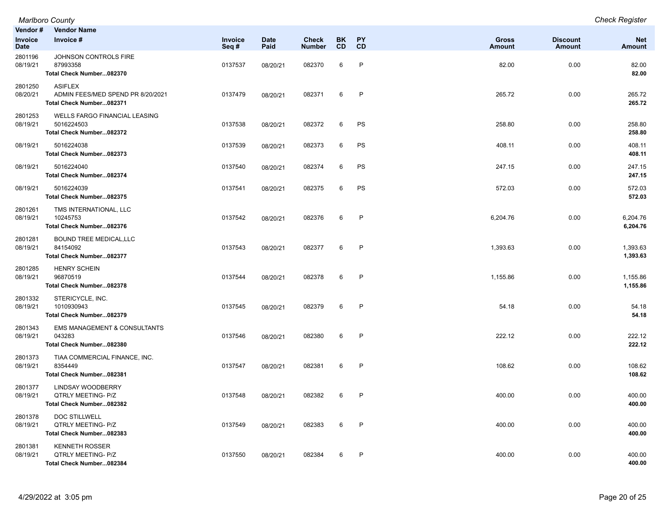| Vendor #<br>Invoice<br>Date | <b>Vendor Name</b><br>Invoice #                                                   | Invoice<br>Seq# | <b>Date</b><br>Paid | <b>Check</b><br><b>Number</b> | BK<br>CD | <b>PY</b><br>CD | <b>Gross</b><br><b>Amount</b> | <b>Discount</b><br>Amount | <b>Net</b><br>Amount |
|-----------------------------|-----------------------------------------------------------------------------------|-----------------|---------------------|-------------------------------|----------|-----------------|-------------------------------|---------------------------|----------------------|
| 2801196<br>08/19/21         | JOHNSON CONTROLS FIRE<br>87993358<br>Total Check Number082370                     | 0137537         | 08/20/21            | 082370                        | 6        | $\mathsf{P}$    | 82.00                         | 0.00                      | 82.00<br>82.00       |
| 2801250<br>08/20/21         | <b>ASIFLEX</b><br>ADMIN FEES/MED SPEND PR 8/20/2021<br>Total Check Number082371   | 0137479         | 08/20/21            | 082371                        | 6        | $\mathsf{P}$    | 265.72                        | 0.00                      | 265.72<br>265.72     |
| 2801253<br>08/19/21         | <b>WELLS FARGO FINANCIAL LEASING</b><br>5016224503<br>Total Check Number082372    | 0137538         | 08/20/21            | 082372                        | 6        | PS              | 258.80                        | 0.00                      | 258.80<br>258.80     |
| 08/19/21                    | 5016224038<br>Total Check Number082373                                            | 0137539         | 08/20/21            | 082373                        | 6        | PS              | 408.11                        | 0.00                      | 408.11<br>408.11     |
| 08/19/21                    | 5016224040<br>Total Check Number082374                                            | 0137540         | 08/20/21            | 082374                        | 6        | PS              | 247.15                        | 0.00                      | 247.15<br>247.15     |
| 08/19/21                    | 5016224039<br>Total Check Number082375                                            | 0137541         | 08/20/21            | 082375                        | 6        | PS              | 572.03                        | 0.00                      | 572.03<br>572.03     |
| 2801261<br>08/19/21         | TMS INTERNATIONAL, LLC<br>10245753<br>Total Check Number082376                    | 0137542         | 08/20/21            | 082376                        | 6        | $\mathsf{P}$    | 6,204.76                      | 0.00                      | 6,204.76<br>6,204.76 |
| 2801281<br>08/19/21         | <b>BOUND TREE MEDICAL, LLC</b><br>84154092<br>Total Check Number082377            | 0137543         | 08/20/21            | 082377                        | 6        | $\mathsf{P}$    | 1,393.63                      | 0.00                      | 1,393.63<br>1,393.63 |
| 2801285<br>08/19/21         | <b>HENRY SCHEIN</b><br>96870519<br>Total Check Number082378                       | 0137544         | 08/20/21            | 082378                        | 6        | $\mathsf{P}$    | 1,155.86                      | 0.00                      | 1,155.86<br>1,155.86 |
| 2801332<br>08/19/21         | STERICYCLE, INC.<br>1010930943<br>Total Check Number082379                        | 0137545         | 08/20/21            | 082379                        | 6        | $\mathsf{P}$    | 54.18                         | 0.00                      | 54.18<br>54.18       |
| 2801343<br>08/19/21         | EMS MANAGEMENT & CONSULTANTS<br>043283<br>Total Check Number082380                | 0137546         | 08/20/21            | 082380                        | 6        | $\mathsf{P}$    | 222.12                        | 0.00                      | 222.12<br>222.12     |
| 2801373<br>08/19/21         | TIAA COMMERCIAL FINANCE, INC.<br>8354449<br>Total Check Number082381              | 0137547         | 08/20/21            | 082381                        | 6        | $\mathsf{P}$    | 108.62                        | 0.00                      | 108.62<br>108.62     |
| 2801377<br>08/19/21         | <b>LINDSAY WOODBERRY</b><br><b>QTRLY MEETING- P/Z</b><br>Total Check Number082382 | 0137548         | 08/20/21            | 082382                        | 6        | $\mathsf{P}$    | 400.00                        | 0.00                      | 400.00<br>400.00     |
| 2801378<br>08/19/21         | DOC STILLWELL<br>QTRLY MEETING- P/Z<br>Total Check Number082383                   | 0137549         | 08/20/21            | 082383                        | 6        | $\mathsf{P}$    | 400.00                        | 0.00                      | 400.00<br>400.00     |
| 2801381<br>08/19/21         | <b>KENNETH ROSSER</b><br>QTRLY MEETING- P/Z<br>Total Check Number082384           | 0137550         | 08/20/21            | 082384                        | 6        | $\mathsf{P}$    | 400.00                        | 0.00                      | 400.00<br>400.00     |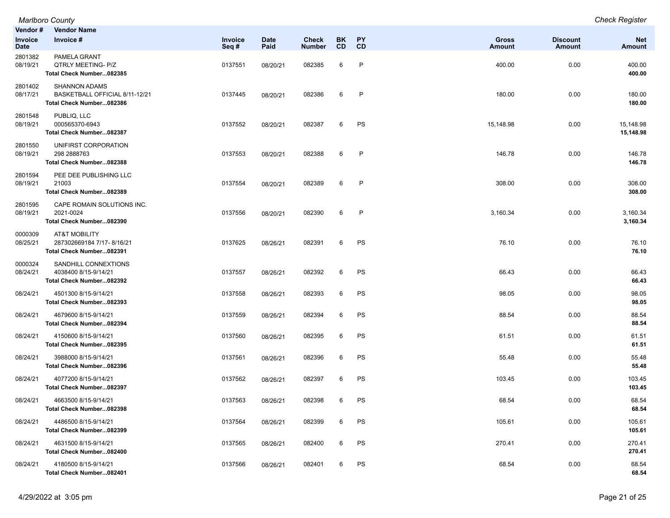| Vendor #<br>Invoice<br>Date | <b>Vendor Name</b><br>Invoice #                                                    | Invoice<br>Seq# | <b>Date</b><br>Paid | Check<br><b>Number</b> | <b>BK</b><br><b>CD</b> | PΥ<br><b>CD</b> | Gross<br>Amount | <b>Discount</b><br><b>Amount</b> | <b>Net</b><br>Amount   |
|-----------------------------|------------------------------------------------------------------------------------|-----------------|---------------------|------------------------|------------------------|-----------------|-----------------|----------------------------------|------------------------|
| 2801382<br>08/19/21         | PAMELA GRANT<br>QTRLY MEETING- P/Z<br>Total Check Number082385                     | 0137551         | 08/20/21            | 082385                 | 6                      | P               | 400.00          | 0.00                             | 400.00<br>400.00       |
| 2801402<br>08/17/21         | <b>SHANNON ADAMS</b><br>BASKETBALL OFFICIAL 8/11-12/21<br>Total Check Number082386 | 0137445         | 08/20/21            | 082386                 | 6                      | $\mathsf{P}$    | 180.00          | 0.00                             | 180.00<br>180.00       |
| 2801548<br>08/19/21         | PUBLIQ, LLC<br>000565370-6943<br>Total Check Number082387                          | 0137552         | 08/20/21            | 082387                 | 6                      | PS              | 15,148.98       | 0.00                             | 15,148.98<br>15,148.98 |
| 2801550<br>08/19/21         | UNIFIRST CORPORATION<br>298 2888763<br>Total Check Number082388                    | 0137553         | 08/20/21            | 082388                 | 6                      | $\mathsf{P}$    | 146.78          | 0.00                             | 146.78<br>146.78       |
| 2801594<br>08/19/21         | PEE DEE PUBLISHING LLC<br>21003<br>Total Check Number082389                        | 0137554         | 08/20/21            | 082389                 | 6                      | P               | 308.00          | 0.00                             | 308.00<br>308.00       |
| 2801595<br>08/19/21         | CAPE ROMAIN SOLUTIONS INC.<br>2021-0024<br>Total Check Number082390                | 0137556         | 08/20/21            | 082390                 | 6                      | P               | 3,160.34        | 0.00                             | 3,160.34<br>3,160.34   |
| 0000309<br>08/25/21         | AT&T MOBILITY<br>287302669184 7/17-8/16/21<br>Total Check Number082391             | 0137625         | 08/26/21            | 082391                 | 6                      | PS              | 76.10           | 0.00                             | 76.10<br>76.10         |
| 0000324<br>08/24/21         | SANDHILL CONNEXTIONS<br>4038400 8/15-9/14/21<br>Total Check Number082392           | 0137557         | 08/26/21            | 082392                 | 6                      | PS              | 66.43           | 0.00                             | 66.43<br>66.43         |
| 08/24/21                    | 4501300 8/15-9/14/21<br>Total Check Number082393                                   | 0137558         | 08/26/21            | 082393                 | 6                      | PS              | 98.05           | 0.00                             | 98.05<br>98.05         |
| 08/24/21                    | 4679600 8/15-9/14/21<br>Total Check Number082394                                   | 0137559         | 08/26/21            | 082394                 | 6                      | PS              | 88.54           | 0.00                             | 88.54<br>88.54         |
| 08/24/21                    | 4150600 8/15-9/14/21<br>Total Check Number082395                                   | 0137560         | 08/26/21            | 082395                 | 6                      | PS              | 61.51           | 0.00                             | 61.51<br>61.51         |
| 08/24/21                    | 3988000 8/15-9/14/21<br>Total Check Number082396                                   | 0137561         | 08/26/21            | 082396                 | 6                      | PS              | 55.48           | 0.00                             | 55.48<br>55.48         |
| 08/24/21                    | 4077200 8/15-9/14/21<br>Total Check Number082397                                   | 0137562         | 08/26/21            | 082397                 | 6                      | PS              | 103.45          | 0.00                             | 103.45<br>103.45       |
| 08/24/21                    | 4663500 8/15-9/14/21<br>Total Check Number082398                                   | 0137563         | 08/26/21            | 082398                 | 6                      | PS              | 68.54           | 0.00                             | 68.54<br>68.54         |
| 08/24/21                    | 4486500 8/15-9/14/21<br>Total Check Number082399                                   | 0137564         | 08/26/21            | 082399                 | 6                      | PS              | 105.61          | 0.00                             | 105.61<br>105.61       |
| 08/24/21                    | 4631500 8/15-9/14/21<br>Total Check Number082400                                   | 0137565         | 08/26/21            | 082400                 | 6                      | PS              | 270.41          | 0.00                             | 270.41<br>270.41       |
| 08/24/21                    | 4180500 8/15-9/14/21<br>Total Check Number082401                                   | 0137566         | 08/26/21            | 082401                 | 6                      | PS              | 68.54           | 0.00                             | 68.54<br>68.54         |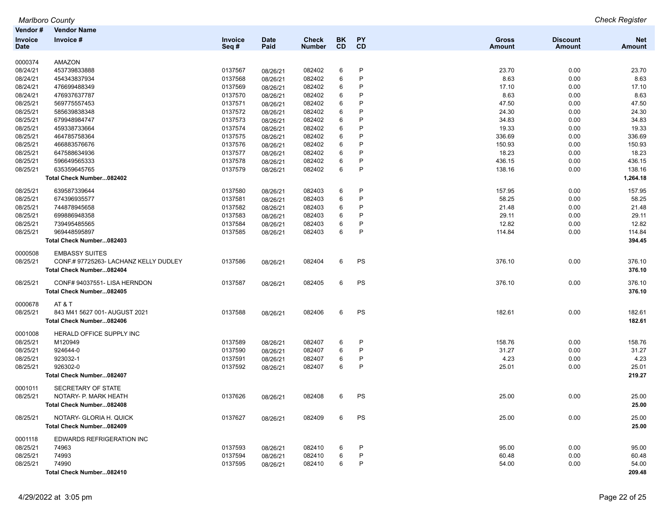|                | <b>Marlboro County</b>                |         |             |               |           |              |               |                 | <b>Check Register</b> |
|----------------|---------------------------------------|---------|-------------|---------------|-----------|--------------|---------------|-----------------|-----------------------|
| Vendor #       | <b>Vendor Name</b>                    |         |             |               |           |              |               |                 |                       |
| <b>Invoice</b> | Invoice#                              | Invoice | <b>Date</b> | <b>Check</b>  | BK        | <b>PY</b>    | Gross         | <b>Discount</b> | <b>Net</b>            |
| Date           |                                       | Seq#    | Paid        | <b>Number</b> | <b>CD</b> | <b>CD</b>    | <b>Amount</b> | <b>Amount</b>   | <b>Amount</b>         |
|                |                                       |         |             |               |           |              |               |                 |                       |
| 0000374        | AMAZON                                |         |             |               |           |              |               |                 |                       |
| 08/24/21       | 453739833888                          | 0137567 | 08/26/21    | 082402        | 6         | P            | 23.70         | 0.00            | 23.70                 |
| 08/24/21       | 454343837934                          | 0137568 | 08/26/21    | 082402        | 6         | P            | 8.63          | 0.00            | 8.63                  |
| 08/24/21       | 476699488349                          | 0137569 | 08/26/21    | 082402        | 6         | P            | 17.10         | 0.00            | 17.10                 |
| 08/24/21       | 476937637787                          | 0137570 | 08/26/21    | 082402        | 6         | P            | 8.63          | 0.00            | 8.63                  |
| 08/25/21       | 569775557453                          | 0137571 | 08/26/21    | 082402        | 6         | P            | 47.50         | 0.00            | 47.50                 |
| 08/25/21       | 585639838348                          | 0137572 | 08/26/21    | 082402        | 6         | P            | 24.30         | 0.00            | 24.30                 |
| 08/25/21       | 679948984747                          | 0137573 | 08/26/21    | 082402        | 6         | P            | 34.83         | 0.00            | 34.83                 |
| 08/25/21       | 459338733664                          | 0137574 | 08/26/21    | 082402        | 6         | P            | 19.33         | 0.00            | 19.33                 |
| 08/25/21       | 464785758364                          | 0137575 | 08/26/21    | 082402        | 6         | P            | 336.69        | 0.00            | 336.69                |
| 08/25/21       | 466883576676                          | 0137576 | 08/26/21    | 082402        | 6         | P            | 150.93        | 0.00            | 150.93                |
| 08/25/21       | 647588634936                          | 0137577 | 08/26/21    | 082402        | 6         | P            | 18.23         | 0.00            | 18.23                 |
| 08/25/21       | 596649565333                          | 0137578 | 08/26/21    | 082402        | 6         | $\mathsf{P}$ | 436.15        | 0.00            | 436.15                |
| 08/25/21       | 635359645765                          | 0137579 | 08/26/21    | 082402        | 6         | $\mathsf{P}$ | 138.16        | 0.00            | 138.16                |
|                | Total Check Number082402              |         |             |               |           |              |               |                 | 1,264.18              |
| 08/25/21       | 639587339644                          | 0137580 | 08/26/21    | 082403        | 6         | P            | 157.95        | 0.00            | 157.95                |
| 08/25/21       | 674396935577                          | 0137581 | 08/26/21    | 082403        | 6         | $\mathsf{P}$ | 58.25         | 0.00            | 58.25                 |
| 08/25/21       | 744878945658                          | 0137582 | 08/26/21    | 082403        | 6         | P            | 21.48         | 0.00            | 21.48                 |
| 08/25/21       | 699886948358                          | 0137583 | 08/26/21    | 082403        | 6         | P            | 29.11         | 0.00            | 29.11                 |
| 08/25/21       | 739495485565                          | 0137584 | 08/26/21    | 082403        | 6         | P            | 12.82         | 0.00            | 12.82                 |
| 08/25/21       | 969448595897                          | 0137585 | 08/26/21    | 082403        | 6         | $\mathsf{P}$ | 114.84        | 0.00            | 114.84                |
|                | Total Check Number082403              |         |             |               |           |              |               |                 | 394.45                |
|                |                                       |         |             |               |           |              |               |                 |                       |
| 0000508        | <b>EMBASSY SUITES</b>                 |         |             |               |           |              |               |                 |                       |
| 08/25/21       | CONF.# 97725263- LACHANZ KELLY DUDLEY | 0137586 | 08/26/21    | 082404        | 6         | PS           | 376.10        | 0.00            | 376.10                |
|                | Total Check Number082404              |         |             |               |           |              |               |                 | 376.10                |
| 08/25/21       | CONF# 94037551- LISA HERNDON          | 0137587 | 08/26/21    | 082405        | 6         | PS           | 376.10        | 0.00            | 376.10                |
|                | Total Check Number082405              |         |             |               |           |              |               |                 | 376.10                |
| 0000678        | AT&T                                  |         |             |               |           |              |               |                 |                       |
| 08/25/21       | 843 M41 5627 001- AUGUST 2021         | 0137588 | 08/26/21    | 082406        | 6         | PS           | 182.61        | 0.00            | 182.61                |
|                | Total Check Number082406              |         |             |               |           |              |               |                 | 182.61                |
|                |                                       |         |             |               |           |              |               |                 |                       |
| 0001008        | HERALD OFFICE SUPPLY INC              |         |             |               |           |              |               |                 |                       |
| 08/25/21       | M120949                               | 0137589 | 08/26/21    | 082407        | 6         | P            | 158.76        | 0.00            | 158.76                |
| 08/25/21       | 924644-0                              | 0137590 | 08/26/21    | 082407        | 6         | P            | 31.27         | 0.00            | 31.27                 |
| 08/25/21       | 923032-1                              | 0137591 | 08/26/21    | 082407        | 6         | P            | 4.23          | 0.00            | 4.23                  |
| 08/25/21       | 926302-0                              | 0137592 | 08/26/21    | 082407        | 6         | $\mathsf{P}$ | 25.01         | 0.00            | 25.01                 |
|                | Total Check Number082407              |         |             |               |           |              |               |                 | 219.27                |
| 0001011        | SECRETARY OF STATE                    |         |             |               |           |              |               |                 |                       |
| 08/25/21       | NOTARY- P. MARK HEATH                 | 0137626 | 08/26/21    | 082408        |           | <b>PS</b>    | 25.00         | 0.00            | 25.00                 |
|                | Total Check Number082408              |         |             |               |           |              |               |                 | 25.00                 |
|                |                                       |         |             |               |           |              |               |                 |                       |
| 08/25/21       | NOTARY- GLORIA H. QUICK               | 0137627 | 08/26/21    | 082409        | 6         | PS           | 25.00         | 0.00            | 25.00                 |
|                | Total Check Number082409              |         |             |               |           |              |               |                 | 25.00                 |
| 0001118        | EDWARDS REFRIGERATION INC             |         |             |               |           |              |               |                 |                       |
| 08/25/21       | 74963                                 | 0137593 | 08/26/21    | 082410        | 6         | P            | 95.00         | 0.00            | 95.00                 |
| 08/25/21       | 74993                                 | 0137594 | 08/26/21    | 082410        | 6         | P            | 60.48         | 0.00            | 60.48                 |
| 08/25/21       | 74990                                 | 0137595 | 08/26/21    | 082410        | 6         | P            | 54.00         | 0.00            | 54.00                 |
|                | Total Check Number082410              |         |             |               |           |              |               |                 | 209.48                |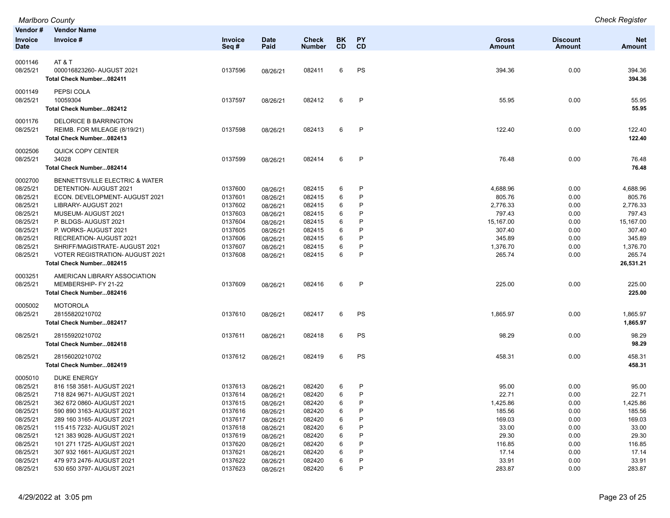|                      | Marlboro County                                          |                    |             |                  |           |              |                    |                 | <b>Check Register</b> |
|----------------------|----------------------------------------------------------|--------------------|-------------|------------------|-----------|--------------|--------------------|-----------------|-----------------------|
| Vendor#              | <b>Vendor Name</b>                                       |                    |             |                  |           |              |                    |                 |                       |
| Invoice              | Invoice #                                                | Invoice            | <b>Date</b> | <b>Check</b>     | <b>BK</b> | PY           | <b>Gross</b>       | <b>Discount</b> | <b>Net</b>            |
| <b>Date</b>          |                                                          | Seq#               | Paid        | <b>Number</b>    | <b>CD</b> | CD           | <b>Amount</b>      | <b>Amount</b>   | <b>Amount</b>         |
| 0001146              | AT&T                                                     |                    |             |                  |           |              |                    |                 |                       |
| 08/25/21             | 000016823260-AUGUST 2021                                 | 0137596            | 08/26/21    | 082411           | 6         | PS           | 394.36             | 0.00            | 394.36                |
|                      | Total Check Number082411                                 |                    |             |                  |           |              |                    |                 | 394.36                |
|                      |                                                          |                    |             |                  |           |              |                    |                 |                       |
| 0001149              | PEPSI COLA                                               |                    |             |                  |           |              |                    |                 |                       |
| 08/25/21             | 10059304                                                 | 0137597            | 08/26/21    | 082412           | 6         | $\mathsf{P}$ | 55.95              | 0.00            | 55.95                 |
|                      | Total Check Number082412                                 |                    |             |                  |           |              |                    |                 | 55.95                 |
| 0001176              | <b>DELORICE B BARRINGTON</b>                             |                    |             |                  |           |              |                    |                 |                       |
| 08/25/21             | REIMB. FOR MILEAGE (8/19/21)                             | 0137598            | 08/26/21    | 082413           | 6         | P            | 122.40             | 0.00            | 122.40                |
|                      | Total Check Number082413                                 |                    |             |                  |           |              |                    |                 | 122.40                |
| 0002506              | QUICK COPY CENTER                                        |                    |             |                  |           |              |                    |                 |                       |
| 08/25/21             | 34028                                                    | 0137599            |             | 082414           | 6         | P            | 76.48              | 0.00            | 76.48                 |
|                      | Total Check Number082414                                 |                    | 08/26/21    |                  |           |              |                    |                 | 76.48                 |
|                      |                                                          |                    |             |                  |           |              |                    |                 |                       |
| 0002700              | BENNETTSVILLE ELECTRIC & WATER                           |                    |             |                  |           |              |                    |                 |                       |
| 08/25/21             | DETENTION- AUGUST 2021                                   | 0137600            | 08/26/21    | 082415           | 6         | P            | 4,688.96           | 0.00            | 4,688.96              |
| 08/25/21             | ECON. DEVELOPMENT- AUGUST 2021                           | 0137601            | 08/26/21    | 082415           | 6         | P            | 805.76             | 0.00            | 805.76                |
| 08/25/21             | LIBRARY- AUGUST 2021                                     | 0137602            | 08/26/21    | 082415           | 6         | P            | 2,776.33           | 0.00            | 2,776.33              |
| 08/25/21             | MUSEUM-AUGUST 2021                                       | 0137603            | 08/26/21    | 082415           | 6         | P            | 797.43             | 0.00            | 797.43                |
| 08/25/21             | P. BLDGS-AUGUST 2021                                     | 0137604            | 08/26/21    | 082415           | 6         | P            | 15,167.00          | 0.00            | 15,167.00             |
| 08/25/21             | P. WORKS-AUGUST 2021                                     | 0137605            | 08/26/21    | 082415           | 6         | P            | 307.40             | 0.00            | 307.40                |
| 08/25/21             | RECREATION- AUGUST 2021<br>SHRIFF/MAGISTRATE-AUGUST 2021 | 0137606            | 08/26/21    | 082415           | 6         | P<br>P       | 345.89             | 0.00            | 345.89                |
| 08/25/21<br>08/25/21 | <b>VOTER REGISTRATION- AUGUST 2021</b>                   | 0137607<br>0137608 | 08/26/21    | 082415<br>082415 | 6<br>6    | P            | 1,376.70<br>265.74 | 0.00<br>0.00    | 1,376.70<br>265.74    |
|                      | Total Check Number082415                                 |                    | 08/26/21    |                  |           |              |                    |                 | 26,531.21             |
|                      |                                                          |                    |             |                  |           |              |                    |                 |                       |
| 0003251              | AMERICAN LIBRARY ASSOCIATION                             |                    |             |                  |           |              |                    |                 |                       |
| 08/25/21             | MEMBERSHIP- FY 21-22                                     | 0137609            | 08/26/21    | 082416           | 6         | P            | 225.00             | 0.00            | 225.00                |
|                      | Total Check Number082416                                 |                    |             |                  |           |              |                    |                 | 225.00                |
| 0005002              | <b>MOTOROLA</b>                                          |                    |             |                  |           |              |                    |                 |                       |
| 08/25/21             | 28155820210702                                           | 0137610            | 08/26/21    | 082417           | 6         | PS           | 1,865.97           | 0.00            | 1,865.97              |
|                      | Total Check Number082417                                 |                    |             |                  |           |              |                    |                 | 1,865.97              |
| 08/25/21             | 28155920210702                                           | 0137611            |             |                  | 6         | PS           | 98.29              | 0.00            | 98.29                 |
|                      | Total Check Number082418                                 |                    | 08/26/21    | 082418           |           |              |                    |                 | 98.29                 |
|                      |                                                          |                    |             |                  |           |              |                    |                 |                       |
| 08/25/21             | 28156020210702                                           | 0137612            | 08/26/21    | 082419           | 6         | PS           | 458.31             | 0.00            | 458.31                |
|                      | Total Check Number082419                                 |                    |             |                  |           |              |                    |                 | 458.31                |
| 0005010              | <b>DUKE ENERGY</b>                                       |                    |             |                  |           |              |                    |                 |                       |
| 08/25/21             | 816 158 3581- AUGUST 2021                                | 0137613            | 08/26/21    | 082420           | 6         | P            | 95.00              | 0.00            | 95.00                 |
| 08/25/21             | 718 824 9671- AUGUST 2021                                | 0137614            | 08/26/21    | 082420           | 6         | P            | 22.71              | 0.00            | 22.71                 |
| 08/25/21             | 362 672 0860- AUGUST 2021                                | 0137615            | 08/26/21    | 082420           | 6         | P            | 1,425.86           | 0.00            | 1,425.86              |
| 08/25/21             | 590 890 3163- AUGUST 2021                                | 0137616            | 08/26/21    | 082420           | 6         | P            | 185.56             | 0.00            | 185.56                |
| 08/25/21             | 289 160 3165- AUGUST 2021                                | 0137617            | 08/26/21    | 082420           | 6         | P            | 169.03             | 0.00            | 169.03                |
| 08/25/21             | 115 415 7232- AUGUST 2021                                | 0137618            | 08/26/21    | 082420           | 6         | P            | 33.00              | 0.00            | 33.00                 |
| 08/25/21             | 121 383 9028- AUGUST 2021                                | 0137619            | 08/26/21    | 082420           | 6         | P            | 29.30              | 0.00            | 29.30                 |
| 08/25/21             | 101 271 1725- AUGUST 2021                                | 0137620            | 08/26/21    | 082420           | 6         | P            | 116.85             | 0.00            | 116.85                |
| 08/25/21             | 307 932 1661- AUGUST 2021                                | 0137621            | 08/26/21    | 082420           | 6         | P            | 17.14              | 0.00            | 17.14                 |
| 08/25/21             | 479 973 2476- AUGUST 2021                                | 0137622            | 08/26/21    | 082420           | 6         | P            | 33.91              | 0.00            | 33.91                 |
| 08/25/21             | 530 650 3797- AUGUST 2021                                | 0137623            | 08/26/21    | 082420           | 6         | P            | 283.87             | 0.00            | 283.87                |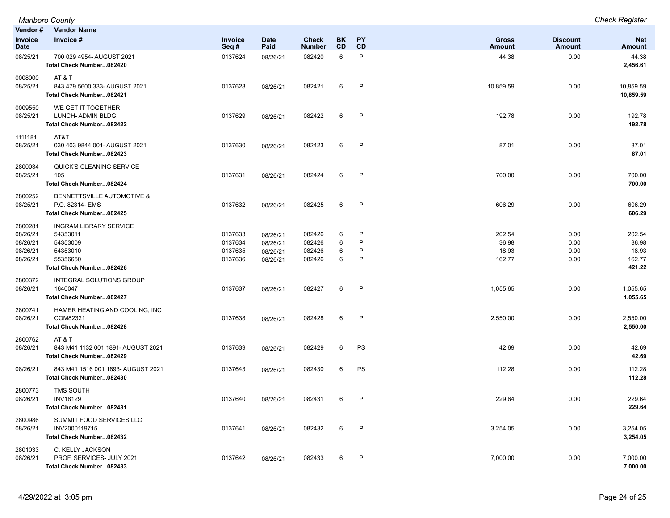| Vendor#                                                 | <b>Vendor Name</b>                                                                                        |                                          |                                              |                                      |                  |                  |                                    |                              |                                              |
|---------------------------------------------------------|-----------------------------------------------------------------------------------------------------------|------------------------------------------|----------------------------------------------|--------------------------------------|------------------|------------------|------------------------------------|------------------------------|----------------------------------------------|
| Invoice<br><b>Date</b>                                  | Invoice #                                                                                                 | Invoice<br>Seq#                          | Date<br>Paid                                 | <b>Check</b><br><b>Number</b>        | <b>BK</b><br>CD  | <b>PY</b><br>CD  | <b>Gross</b><br>Amount             | <b>Discount</b><br>Amount    | <b>Net</b><br><b>Amount</b>                  |
| 08/25/21                                                | 700 029 4954- AUGUST 2021<br>Total Check Number082420                                                     | 0137624                                  | 08/26/21                                     | 082420                               | 6                | P                | 44.38                              | 0.00                         | 44.38<br>2,456.61                            |
| 0008000<br>08/25/21                                     | AT&T<br>843 479 5600 333- AUGUST 2021<br>Total Check Number082421                                         | 0137628                                  | 08/26/21                                     | 082421                               | 6                | P                | 10,859.59                          | 0.00                         | 10,859.59<br>10,859.59                       |
| 0009550<br>08/25/21                                     | WE GET IT TOGETHER<br>LUNCH- ADMIN BLDG.<br>Total Check Number082422                                      | 0137629                                  | 08/26/21                                     | 082422                               | 6                | $\mathsf{P}$     | 192.78                             | 0.00                         | 192.78<br>192.78                             |
| 1111181<br>08/25/21                                     | AT&T<br>030 403 9844 001- AUGUST 2021<br>Total Check Number082423                                         | 0137630                                  | 08/26/21                                     | 082423                               | 6                | $\mathsf{P}$     | 87.01                              | 0.00                         | 87.01<br>87.01                               |
| 2800034<br>08/25/21                                     | QUICK'S CLEANING SERVICE<br>105<br>Total Check Number082424                                               | 0137631                                  | 08/26/21                                     | 082424                               | 6                | P                | 700.00                             | 0.00                         | 700.00<br>700.00                             |
| 2800252<br>08/25/21                                     | BENNETTSVILLE AUTOMOTIVE &<br>P.O. 82314- EMS<br>Total Check Number082425                                 | 0137632                                  | 08/26/21                                     | 082425                               | 6                | $\mathsf{P}$     | 606.29                             | 0.00                         | 606.29<br>606.29                             |
| 2800281<br>08/26/21<br>08/26/21<br>08/26/21<br>08/26/21 | <b>INGRAM LIBRARY SERVICE</b><br>54353011<br>54353009<br>54353010<br>55356650<br>Total Check Number082426 | 0137633<br>0137634<br>0137635<br>0137636 | 08/26/21<br>08/26/21<br>08/26/21<br>08/26/21 | 082426<br>082426<br>082426<br>082426 | 6<br>6<br>6<br>6 | P<br>P<br>P<br>P | 202.54<br>36.98<br>18.93<br>162.77 | 0.00<br>0.00<br>0.00<br>0.00 | 202.54<br>36.98<br>18.93<br>162.77<br>421.22 |
| 2800372<br>08/26/21                                     | INTEGRAL SOLUTIONS GROUP<br>1640047<br>Total Check Number082427                                           | 0137637                                  | 08/26/21                                     | 082427                               | 6                | $\mathsf{P}$     | 1,055.65                           | 0.00                         | 1,055.65<br>1,055.65                         |
| 2800741<br>08/26/21                                     | HAMER HEATING AND COOLING, INC<br>COM82321<br>Total Check Number082428                                    | 0137638                                  | 08/26/21                                     | 082428                               | 6                | P                | 2,550.00                           | 0.00                         | 2,550.00<br>2,550.00                         |
| 2800762<br>08/26/21                                     | AT & T<br>843 M41 1132 001 1891- AUGUST 2021<br>Total Check Number082429                                  | 0137639                                  | 08/26/21                                     | 082429                               | 6                | PS               | 42.69                              | 0.00                         | 42.69<br>42.69                               |
| 08/26/21                                                | 843 M41 1516 001 1893- AUGUST 2021<br>Total Check Number082430                                            | 0137643                                  | 08/26/21                                     | 082430                               | 6                | PS               | 112.28                             | 0.00                         | 112.28<br>112.28                             |
| 2800773<br>08/26/21                                     | <b>TMS SOUTH</b><br><b>INV18129</b><br>Total Check Number082431                                           | 0137640                                  | 08/26/21                                     | 082431                               | 6                | P                | 229.64                             | 0.00                         | 229.64<br>229.64                             |
| 2800986<br>08/26/21                                     | SUMMIT FOOD SERVICES LLC<br>INV2000119715<br>Total Check Number082432                                     | 0137641                                  | 08/26/21                                     | 082432                               | 6                | $\mathsf{P}$     | 3,254.05                           | 0.00                         | 3,254.05<br>3,254.05                         |
| 2801033<br>08/26/21                                     | C. KELLY JACKSON<br>PROF. SERVICES- JULY 2021<br>Total Check Number082433                                 | 0137642                                  | 08/26/21                                     | 082433                               | 6                | P                | 7,000.00                           | 0.00                         | 7,000.00<br>7,000.00                         |